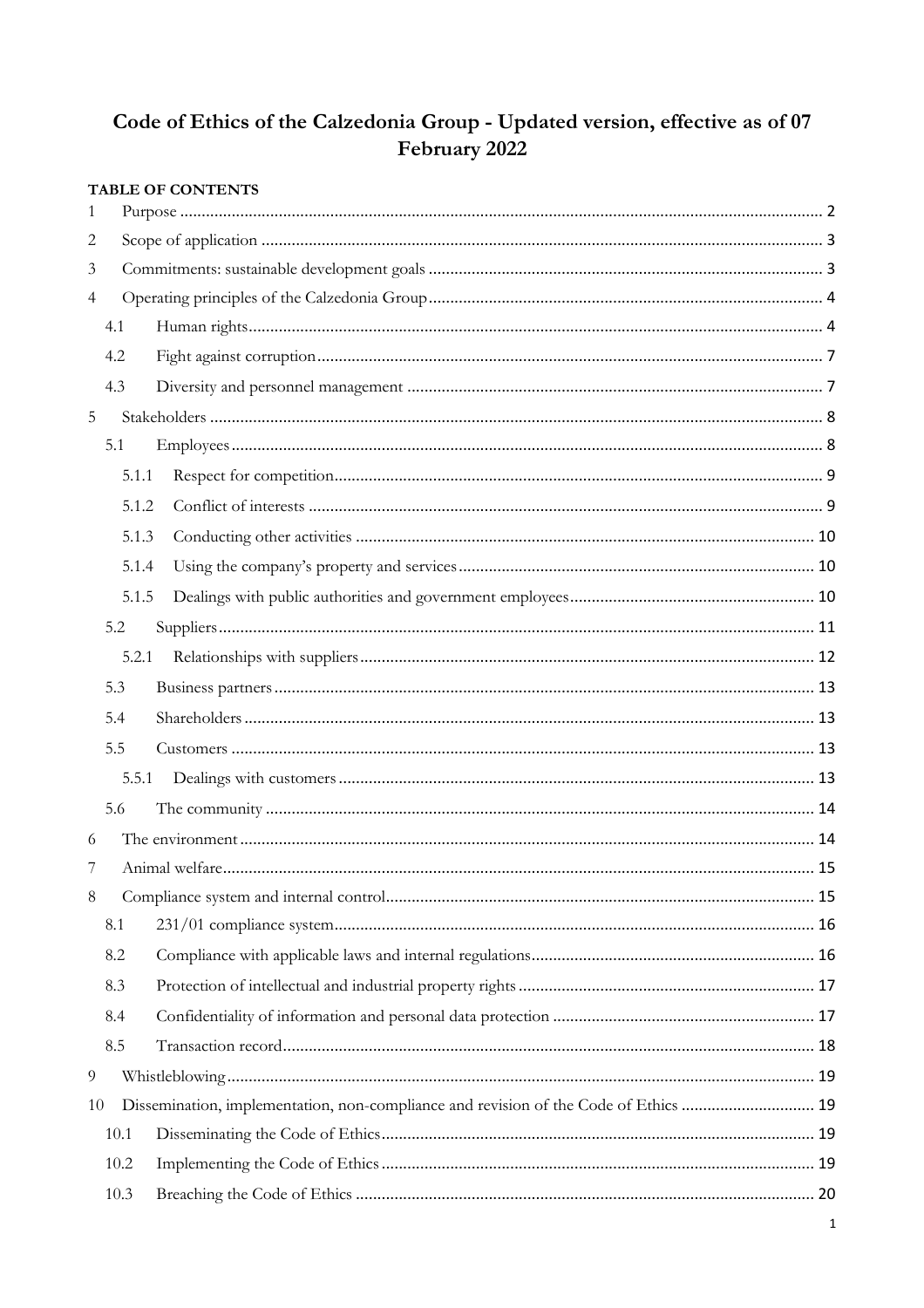# Code of Ethics of the Calzedonia Group - Updated version, effective as of 07 February 2022

|                |      |       | <b>TABLE OF CONTENTS</b>                                                             |  |
|----------------|------|-------|--------------------------------------------------------------------------------------|--|
| 1              |      |       |                                                                                      |  |
| 2              |      |       |                                                                                      |  |
| 3              |      |       |                                                                                      |  |
| $\overline{4}$ |      |       |                                                                                      |  |
|                | 4.1  |       |                                                                                      |  |
|                | 4.2  |       |                                                                                      |  |
|                | 4.3  |       |                                                                                      |  |
| $5\,$          |      |       |                                                                                      |  |
|                | 5.1  |       |                                                                                      |  |
|                |      | 5.1.1 |                                                                                      |  |
|                |      | 5.1.2 |                                                                                      |  |
|                |      | 5.1.3 |                                                                                      |  |
|                |      | 5.1.4 |                                                                                      |  |
|                |      | 5.1.5 |                                                                                      |  |
|                | 5.2  |       |                                                                                      |  |
|                |      | 5.2.1 |                                                                                      |  |
|                | 5.3  |       |                                                                                      |  |
|                | 5.4  |       |                                                                                      |  |
|                | 5.5  |       |                                                                                      |  |
|                |      | 5.5.1 |                                                                                      |  |
|                | 5.6  |       |                                                                                      |  |
| 6              |      |       |                                                                                      |  |
|                |      |       |                                                                                      |  |
| $8\phantom{1}$ |      |       |                                                                                      |  |
|                | 8.1  |       |                                                                                      |  |
|                | 8.2  |       |                                                                                      |  |
|                | 8.3  |       |                                                                                      |  |
|                | 8.4  |       |                                                                                      |  |
|                | 8.5  |       |                                                                                      |  |
| $\overline{9}$ |      |       |                                                                                      |  |
| 10             |      |       | Dissemination, implementation, non-compliance and revision of the Code of Ethics  19 |  |
|                | 10.1 |       |                                                                                      |  |
|                | 10.2 |       |                                                                                      |  |
|                | 10.3 |       |                                                                                      |  |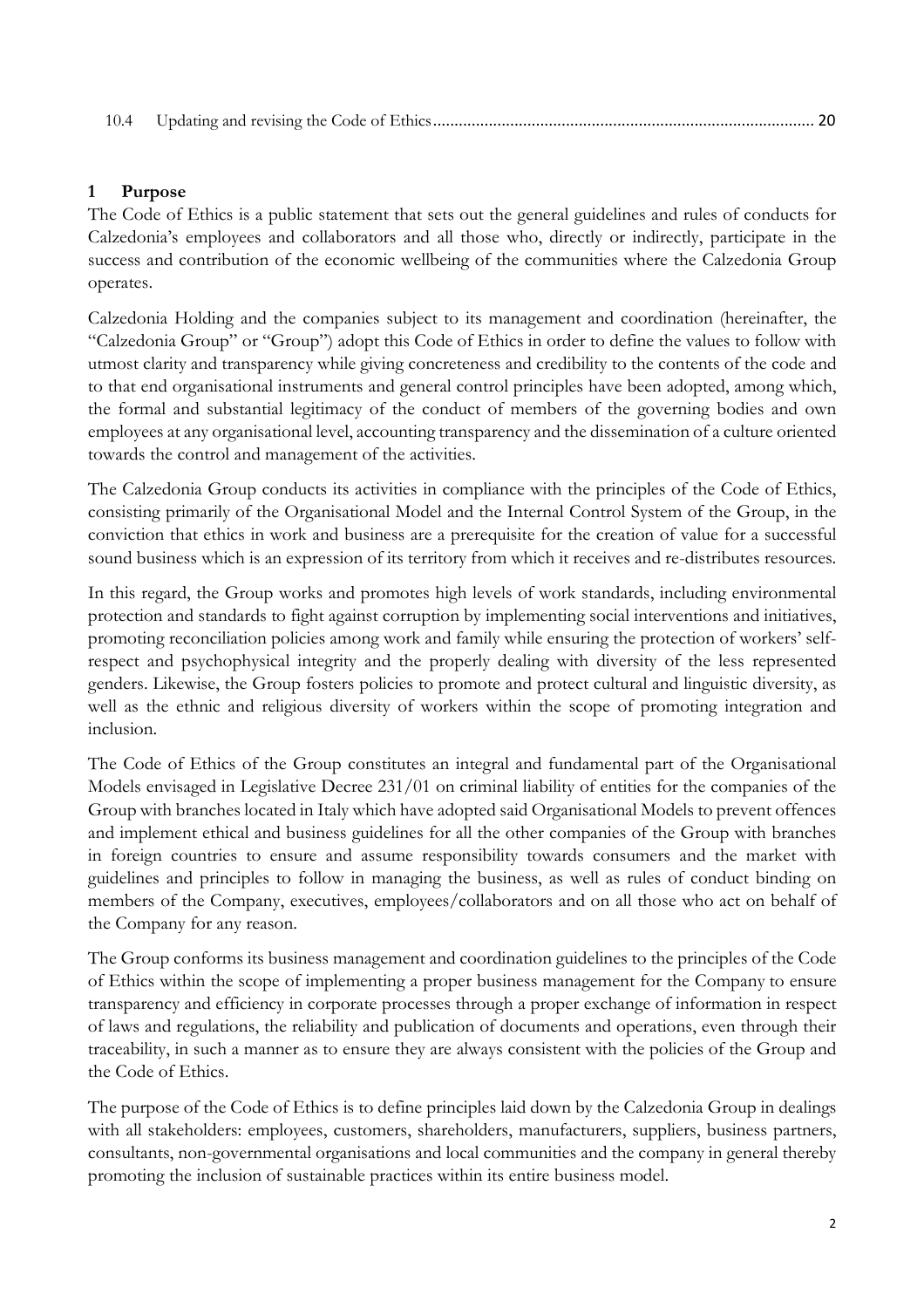|--|--|--|

### **1 Purpose**

The Code of Ethics is a public statement that sets out the general guidelines and rules of conducts for Calzedonia's employees and collaborators and all those who, directly or indirectly, participate in the success and contribution of the economic wellbeing of the communities where the Calzedonia Group operates.

Calzedonia Holding and the companies subject to its management and coordination (hereinafter, the "Calzedonia Group" or "Group") adopt this Code of Ethics in order to define the values to follow with utmost clarity and transparency while giving concreteness and credibility to the contents of the code and to that end organisational instruments and general control principles have been adopted, among which, the formal and substantial legitimacy of the conduct of members of the governing bodies and own employees at any organisational level, accounting transparency and the dissemination of a culture oriented towards the control and management of the activities.

The Calzedonia Group conducts its activities in compliance with the principles of the Code of Ethics, consisting primarily of the Organisational Model and the Internal Control System of the Group, in the conviction that ethics in work and business are a prerequisite for the creation of value for a successful sound business which is an expression of its territory from which it receives and re-distributes resources.

In this regard, the Group works and promotes high levels of work standards, including environmental protection and standards to fight against corruption by implementing social interventions and initiatives, promoting reconciliation policies among work and family while ensuring the protection of workers' selfrespect and psychophysical integrity and the properly dealing with diversity of the less represented genders. Likewise, the Group fosters policies to promote and protect cultural and linguistic diversity, as well as the ethnic and religious diversity of workers within the scope of promoting integration and inclusion.

The Code of Ethics of the Group constitutes an integral and fundamental part of the Organisational Models envisaged in Legislative Decree 231/01 on criminal liability of entities for the companies of the Group with branches located in Italy which have adopted said Organisational Models to prevent offences and implement ethical and business guidelines for all the other companies of the Group with branches in foreign countries to ensure and assume responsibility towards consumers and the market with guidelines and principles to follow in managing the business, as well as rules of conduct binding on members of the Company, executives, employees/collaborators and on all those who act on behalf of the Company for any reason.

The Group conforms its business management and coordination guidelines to the principles of the Code of Ethics within the scope of implementing a proper business management for the Company to ensure transparency and efficiency in corporate processes through a proper exchange of information in respect of laws and regulations, the reliability and publication of documents and operations, even through their traceability, in such a manner as to ensure they are always consistent with the policies of the Group and the Code of Ethics.

The purpose of the Code of Ethics is to define principles laid down by the Calzedonia Group in dealings with all stakeholders: employees, customers, shareholders, manufacturers, suppliers, business partners, consultants, non-governmental organisations and local communities and the company in general thereby promoting the inclusion of sustainable practices within its entire business model.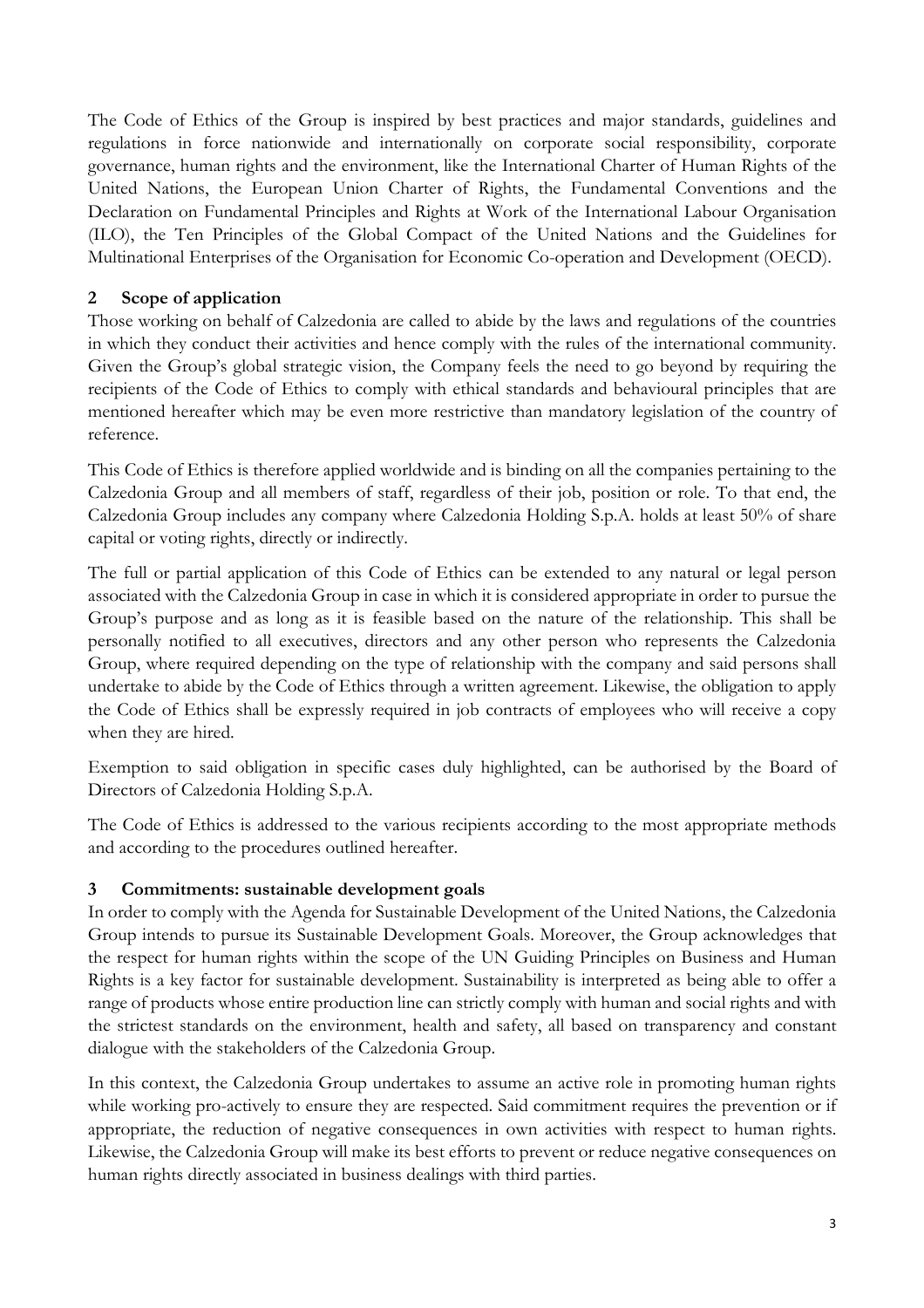The Code of Ethics of the Group is inspired by best practices and major standards, guidelines and regulations in force nationwide and internationally on corporate social responsibility, corporate governance, human rights and the environment, like the International Charter of Human Rights of the United Nations, the European Union Charter of Rights, the Fundamental Conventions and the Declaration on Fundamental Principles and Rights at Work of the International Labour Organisation (ILO), the Ten Principles of the Global Compact of the United Nations and the Guidelines for Multinational Enterprises of the Organisation for Economic Co-operation and Development (OECD).

# **2 Scope of application**

Those working on behalf of Calzedonia are called to abide by the laws and regulations of the countries in which they conduct their activities and hence comply with the rules of the international community. Given the Group's global strategic vision, the Company feels the need to go beyond by requiring the recipients of the Code of Ethics to comply with ethical standards and behavioural principles that are mentioned hereafter which may be even more restrictive than mandatory legislation of the country of reference.

This Code of Ethics is therefore applied worldwide and is binding on all the companies pertaining to the Calzedonia Group and all members of staff, regardless of their job, position or role. To that end, the Calzedonia Group includes any company where Calzedonia Holding S.p.A. holds at least 50% of share capital or voting rights, directly or indirectly.

The full or partial application of this Code of Ethics can be extended to any natural or legal person associated with the Calzedonia Group in case in which it is considered appropriate in order to pursue the Group's purpose and as long as it is feasible based on the nature of the relationship. This shall be personally notified to all executives, directors and any other person who represents the Calzedonia Group, where required depending on the type of relationship with the company and said persons shall undertake to abide by the Code of Ethics through a written agreement. Likewise, the obligation to apply the Code of Ethics shall be expressly required in job contracts of employees who will receive a copy when they are hired.

Exemption to said obligation in specific cases duly highlighted, can be authorised by the Board of Directors of Calzedonia Holding S.p.A.

The Code of Ethics is addressed to the various recipients according to the most appropriate methods and according to the procedures outlined hereafter.

### **3 Commitments: sustainable development goals**

In order to comply with the Agenda for Sustainable Development of the United Nations, the Calzedonia Group intends to pursue its Sustainable Development Goals. Moreover, the Group acknowledges that the respect for human rights within the scope of the UN Guiding Principles on Business and Human Rights is a key factor for sustainable development. Sustainability is interpreted as being able to offer a range of products whose entire production line can strictly comply with human and social rights and with the strictest standards on the environment, health and safety, all based on transparency and constant dialogue with the stakeholders of the Calzedonia Group.

In this context, the Calzedonia Group undertakes to assume an active role in promoting human rights while working pro-actively to ensure they are respected. Said commitment requires the prevention or if appropriate, the reduction of negative consequences in own activities with respect to human rights. Likewise, the Calzedonia Group will make its best efforts to prevent or reduce negative consequences on human rights directly associated in business dealings with third parties.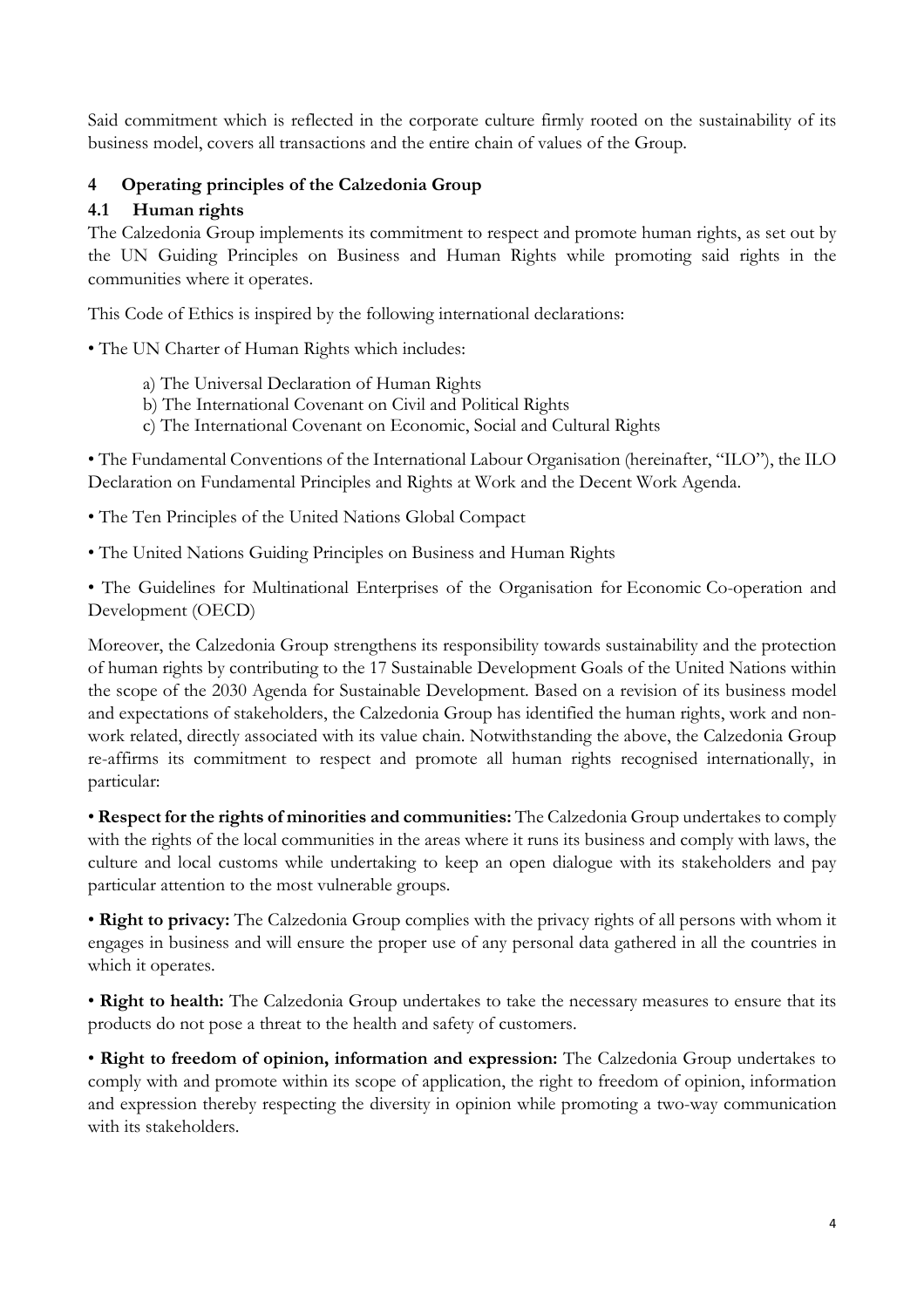Said commitment which is reflected in the corporate culture firmly rooted on the sustainability of its business model, covers all transactions and the entire chain of values of the Group.

# **4 Operating principles of the Calzedonia Group**

#### **4.1 Human rights**

The Calzedonia Group implements its commitment to respect and promote human rights, as set out by the UN Guiding Principles on Business and Human Rights while promoting said rights in the communities where it operates.

This Code of Ethics is inspired by the following international declarations:

• The UN Charter of Human Rights which includes:

- a) The Universal Declaration of Human Rights
- b) The International Covenant on Civil and Political Rights
- c) The International Covenant on Economic, Social and Cultural Rights

• The Fundamental Conventions of the International Labour Organisation (hereinafter, "ILO"), the ILO Declaration on Fundamental Principles and Rights at Work and the Decent Work Agenda.

• The Ten Principles of the United Nations Global Compact

• The United Nations Guiding Principles on Business and Human Rights

• The Guidelines for Multinational Enterprises of the Organisation for Economic Co-operation and Development (OECD)

Moreover, the Calzedonia Group strengthens its responsibility towards sustainability and the protection of human rights by contributing to the 17 Sustainable Development Goals of the United Nations within the scope of the 2030 Agenda for Sustainable Development. Based on a revision of its business model and expectations of stakeholders, the Calzedonia Group has identified the human rights, work and nonwork related, directly associated with its value chain. Notwithstanding the above, the Calzedonia Group re-affirms its commitment to respect and promote all human rights recognised internationally, in particular:

• **Respect for the rights of minorities and communities:** The Calzedonia Group undertakes to comply with the rights of the local communities in the areas where it runs its business and comply with laws, the culture and local customs while undertaking to keep an open dialogue with its stakeholders and pay particular attention to the most vulnerable groups.

• **Right to privacy:** The Calzedonia Group complies with the privacy rights of all persons with whom it engages in business and will ensure the proper use of any personal data gathered in all the countries in which it operates.

• **Right to health:** The Calzedonia Group undertakes to take the necessary measures to ensure that its products do not pose a threat to the health and safety of customers.

• **Right to freedom of opinion, information and expression:** The Calzedonia Group undertakes to comply with and promote within its scope of application, the right to freedom of opinion, information and expression thereby respecting the diversity in opinion while promoting a two-way communication with its stakeholders.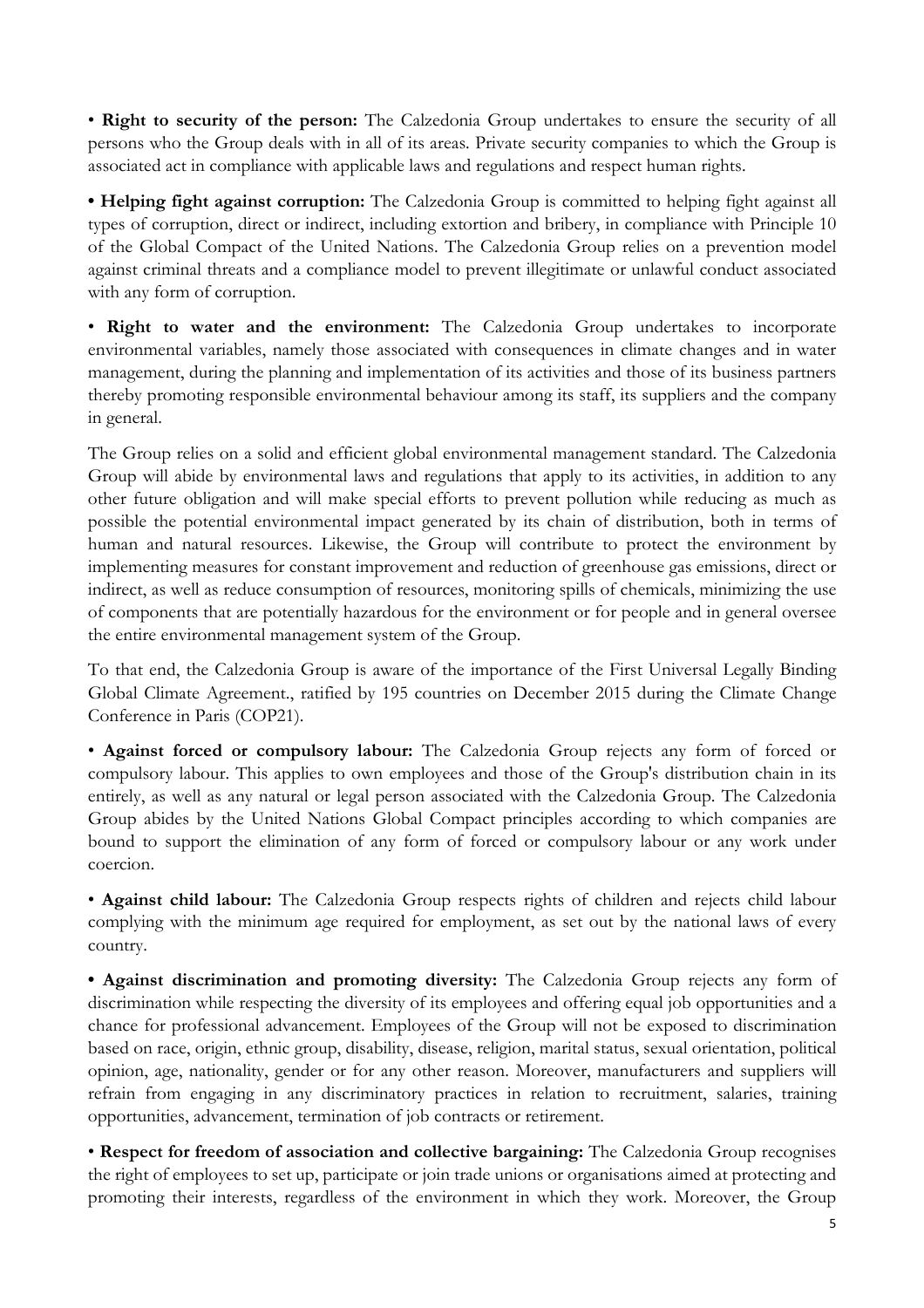• **Right to security of the person:** The Calzedonia Group undertakes to ensure the security of all persons who the Group deals with in all of its areas. Private security companies to which the Group is associated act in compliance with applicable laws and regulations and respect human rights.

**• Helping fight against corruption:** The Calzedonia Group is committed to helping fight against all types of corruption, direct or indirect, including extortion and bribery, in compliance with Principle 10 of the Global Compact of the United Nations. The Calzedonia Group relies on a prevention model against criminal threats and a compliance model to prevent illegitimate or unlawful conduct associated with any form of corruption.

• **Right to water and the environment:** The Calzedonia Group undertakes to incorporate environmental variables, namely those associated with consequences in climate changes and in water management, during the planning and implementation of its activities and those of its business partners thereby promoting responsible environmental behaviour among its staff, its suppliers and the company in general.

The Group relies on a solid and efficient global environmental management standard. The Calzedonia Group will abide by environmental laws and regulations that apply to its activities, in addition to any other future obligation and will make special efforts to prevent pollution while reducing as much as possible the potential environmental impact generated by its chain of distribution, both in terms of human and natural resources. Likewise, the Group will contribute to protect the environment by implementing measures for constant improvement and reduction of greenhouse gas emissions, direct or indirect, as well as reduce consumption of resources, monitoring spills of chemicals, minimizing the use of components that are potentially hazardous for the environment or for people and in general oversee the entire environmental management system of the Group.

To that end, the Calzedonia Group is aware of the importance of the First Universal Legally Binding Global Climate Agreement., ratified by 195 countries on December 2015 during the Climate Change Conference in Paris (COP21).

• **Against forced or compulsory labour:** The Calzedonia Group rejects any form of forced or compulsory labour. This applies to own employees and those of the Group's distribution chain in its entirely, as well as any natural or legal person associated with the Calzedonia Group. The Calzedonia Group abides by the United Nations Global Compact principles according to which companies are bound to support the elimination of any form of forced or compulsory labour or any work under coercion.

• **Against child labour:** The Calzedonia Group respects rights of children and rejects child labour complying with the minimum age required for employment, as set out by the national laws of every country.

**• Against discrimination and promoting diversity:** The Calzedonia Group rejects any form of discrimination while respecting the diversity of its employees and offering equal job opportunities and a chance for professional advancement. Employees of the Group will not be exposed to discrimination based on race, origin, ethnic group, disability, disease, religion, marital status, sexual orientation, political opinion, age, nationality, gender or for any other reason. Moreover, manufacturers and suppliers will refrain from engaging in any discriminatory practices in relation to recruitment, salaries, training opportunities, advancement, termination of job contracts or retirement.

• **Respect for freedom of association and collective bargaining:** The Calzedonia Group recognises the right of employees to set up, participate or join trade unions or organisations aimed at protecting and promoting their interests, regardless of the environment in which they work. Moreover, the Group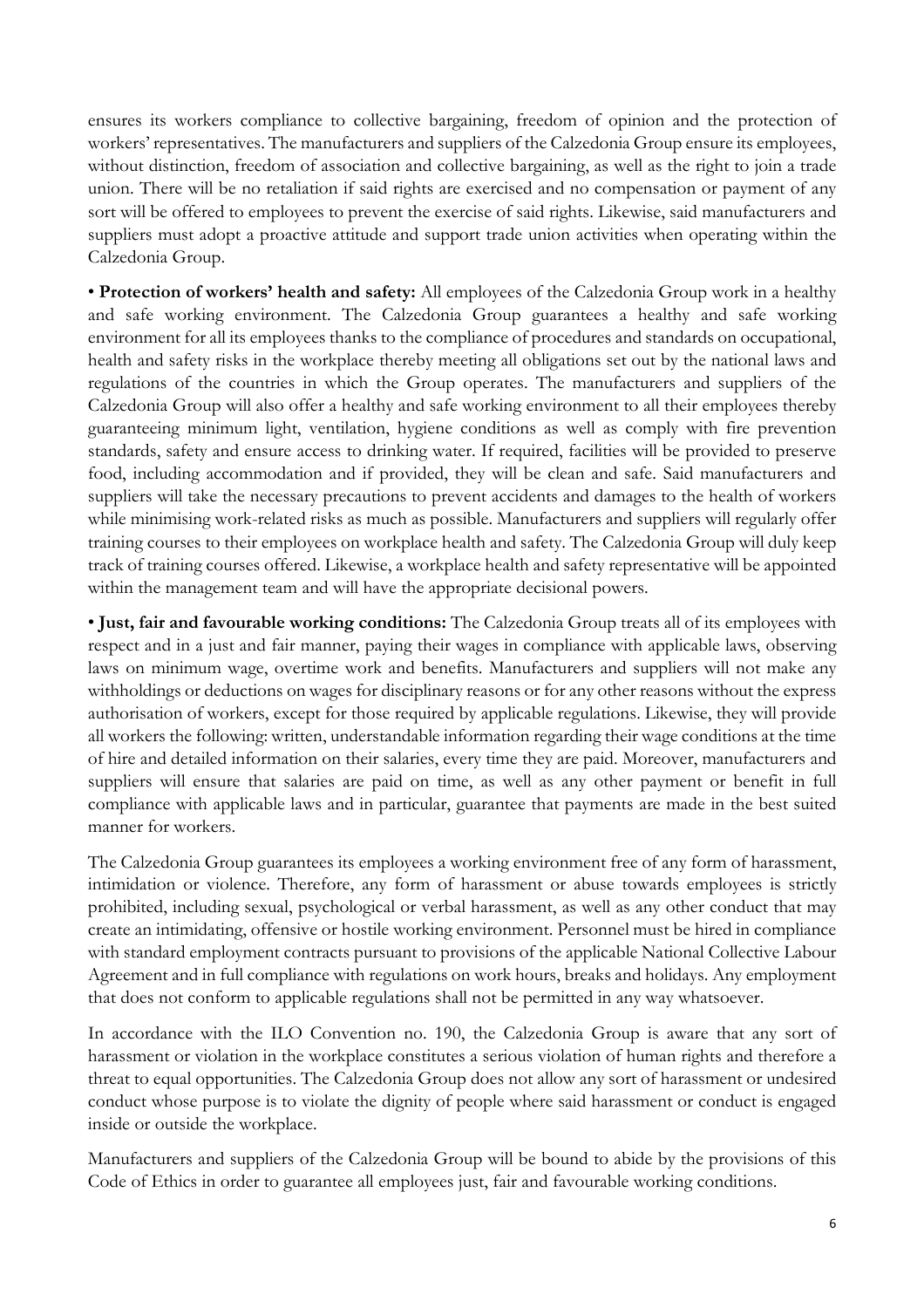ensures its workers compliance to collective bargaining, freedom of opinion and the protection of workers' representatives. The manufacturers and suppliers of the Calzedonia Group ensure its employees, without distinction, freedom of association and collective bargaining, as well as the right to join a trade union. There will be no retaliation if said rights are exercised and no compensation or payment of any sort will be offered to employees to prevent the exercise of said rights. Likewise, said manufacturers and suppliers must adopt a proactive attitude and support trade union activities when operating within the Calzedonia Group.

• **Protection of workers' health and safety:** All employees of the Calzedonia Group work in a healthy and safe working environment. The Calzedonia Group guarantees a healthy and safe working environment for all its employees thanks to the compliance of procedures and standards on occupational, health and safety risks in the workplace thereby meeting all obligations set out by the national laws and regulations of the countries in which the Group operates. The manufacturers and suppliers of the Calzedonia Group will also offer a healthy and safe working environment to all their employees thereby guaranteeing minimum light, ventilation, hygiene conditions as well as comply with fire prevention standards, safety and ensure access to drinking water. If required, facilities will be provided to preserve food, including accommodation and if provided, they will be clean and safe. Said manufacturers and suppliers will take the necessary precautions to prevent accidents and damages to the health of workers while minimising work-related risks as much as possible. Manufacturers and suppliers will regularly offer training courses to their employees on workplace health and safety. The Calzedonia Group will duly keep track of training courses offered. Likewise, a workplace health and safety representative will be appointed within the management team and will have the appropriate decisional powers.

• **Just, fair and favourable working conditions:** The Calzedonia Group treats all of its employees with respect and in a just and fair manner, paying their wages in compliance with applicable laws, observing laws on minimum wage, overtime work and benefits. Manufacturers and suppliers will not make any withholdings or deductions on wages for disciplinary reasons or for any other reasons without the express authorisation of workers, except for those required by applicable regulations. Likewise, they will provide all workers the following: written, understandable information regarding their wage conditions at the time of hire and detailed information on their salaries, every time they are paid. Moreover, manufacturers and suppliers will ensure that salaries are paid on time, as well as any other payment or benefit in full compliance with applicable laws and in particular, guarantee that payments are made in the best suited manner for workers.

The Calzedonia Group guarantees its employees a working environment free of any form of harassment, intimidation or violence. Therefore, any form of harassment or abuse towards employees is strictly prohibited, including sexual, psychological or verbal harassment, as well as any other conduct that may create an intimidating, offensive or hostile working environment. Personnel must be hired in compliance with standard employment contracts pursuant to provisions of the applicable National Collective Labour Agreement and in full compliance with regulations on work hours, breaks and holidays. Any employment that does not conform to applicable regulations shall not be permitted in any way whatsoever.

In accordance with the ILO Convention no. 190, the Calzedonia Group is aware that any sort of harassment or violation in the workplace constitutes a serious violation of human rights and therefore a threat to equal opportunities. The Calzedonia Group does not allow any sort of harassment or undesired conduct whose purpose is to violate the dignity of people where said harassment or conduct is engaged inside or outside the workplace.

Manufacturers and suppliers of the Calzedonia Group will be bound to abide by the provisions of this Code of Ethics in order to guarantee all employees just, fair and favourable working conditions.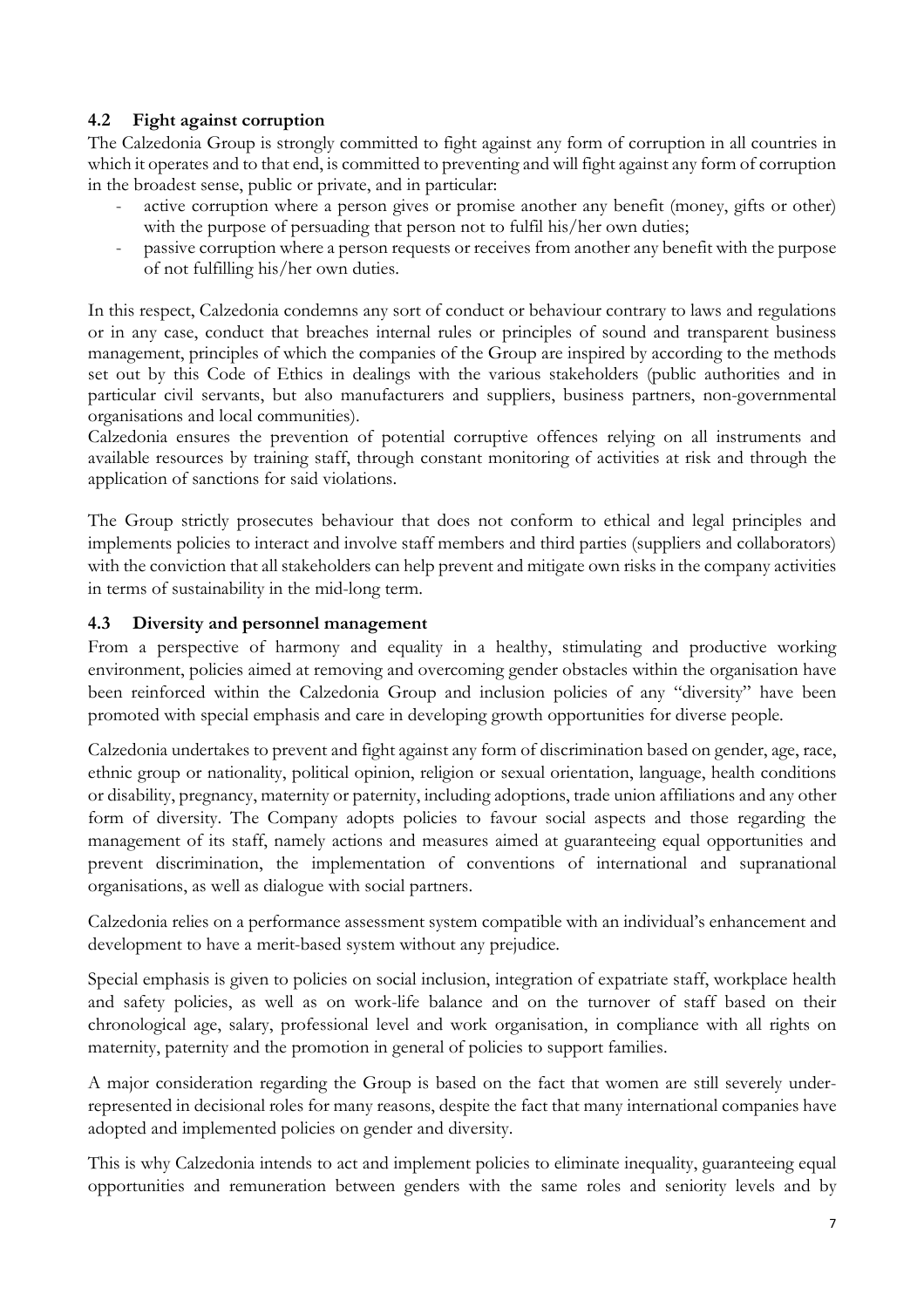# **4.2 Fight against corruption**

The Calzedonia Group is strongly committed to fight against any form of corruption in all countries in which it operates and to that end, is committed to preventing and will fight against any form of corruption in the broadest sense, public or private, and in particular:

- active corruption where a person gives or promise another any benefit (money, gifts or other) with the purpose of persuading that person not to fulfil his/her own duties;
- passive corruption where a person requests or receives from another any benefit with the purpose of not fulfilling his/her own duties.

In this respect, Calzedonia condemns any sort of conduct or behaviour contrary to laws and regulations or in any case, conduct that breaches internal rules or principles of sound and transparent business management, principles of which the companies of the Group are inspired by according to the methods set out by this Code of Ethics in dealings with the various stakeholders (public authorities and in particular civil servants, but also manufacturers and suppliers, business partners, non-governmental organisations and local communities).

Calzedonia ensures the prevention of potential corruptive offences relying on all instruments and available resources by training staff, through constant monitoring of activities at risk and through the application of sanctions for said violations.

The Group strictly prosecutes behaviour that does not conform to ethical and legal principles and implements policies to interact and involve staff members and third parties (suppliers and collaborators) with the conviction that all stakeholders can help prevent and mitigate own risks in the company activities in terms of sustainability in the mid-long term.

### **4.3 Diversity and personnel management**

From a perspective of harmony and equality in a healthy, stimulating and productive working environment, policies aimed at removing and overcoming gender obstacles within the organisation have been reinforced within the Calzedonia Group and inclusion policies of any "diversity" have been promoted with special emphasis and care in developing growth opportunities for diverse people.

Calzedonia undertakes to prevent and fight against any form of discrimination based on gender, age, race, ethnic group or nationality, political opinion, religion or sexual orientation, language, health conditions or disability, pregnancy, maternity or paternity, including adoptions, trade union affiliations and any other form of diversity. The Company adopts policies to favour social aspects and those regarding the management of its staff, namely actions and measures aimed at guaranteeing equal opportunities and prevent discrimination, the implementation of conventions of international and supranational organisations, as well as dialogue with social partners.

Calzedonia relies on a performance assessment system compatible with an individual's enhancement and development to have a merit-based system without any prejudice.

Special emphasis is given to policies on social inclusion, integration of expatriate staff, workplace health and safety policies, as well as on work-life balance and on the turnover of staff based on their chronological age, salary, professional level and work organisation, in compliance with all rights on maternity, paternity and the promotion in general of policies to support families.

A major consideration regarding the Group is based on the fact that women are still severely underrepresented in decisional roles for many reasons, despite the fact that many international companies have adopted and implemented policies on gender and diversity.

This is why Calzedonia intends to act and implement policies to eliminate inequality, guaranteeing equal opportunities and remuneration between genders with the same roles and seniority levels and by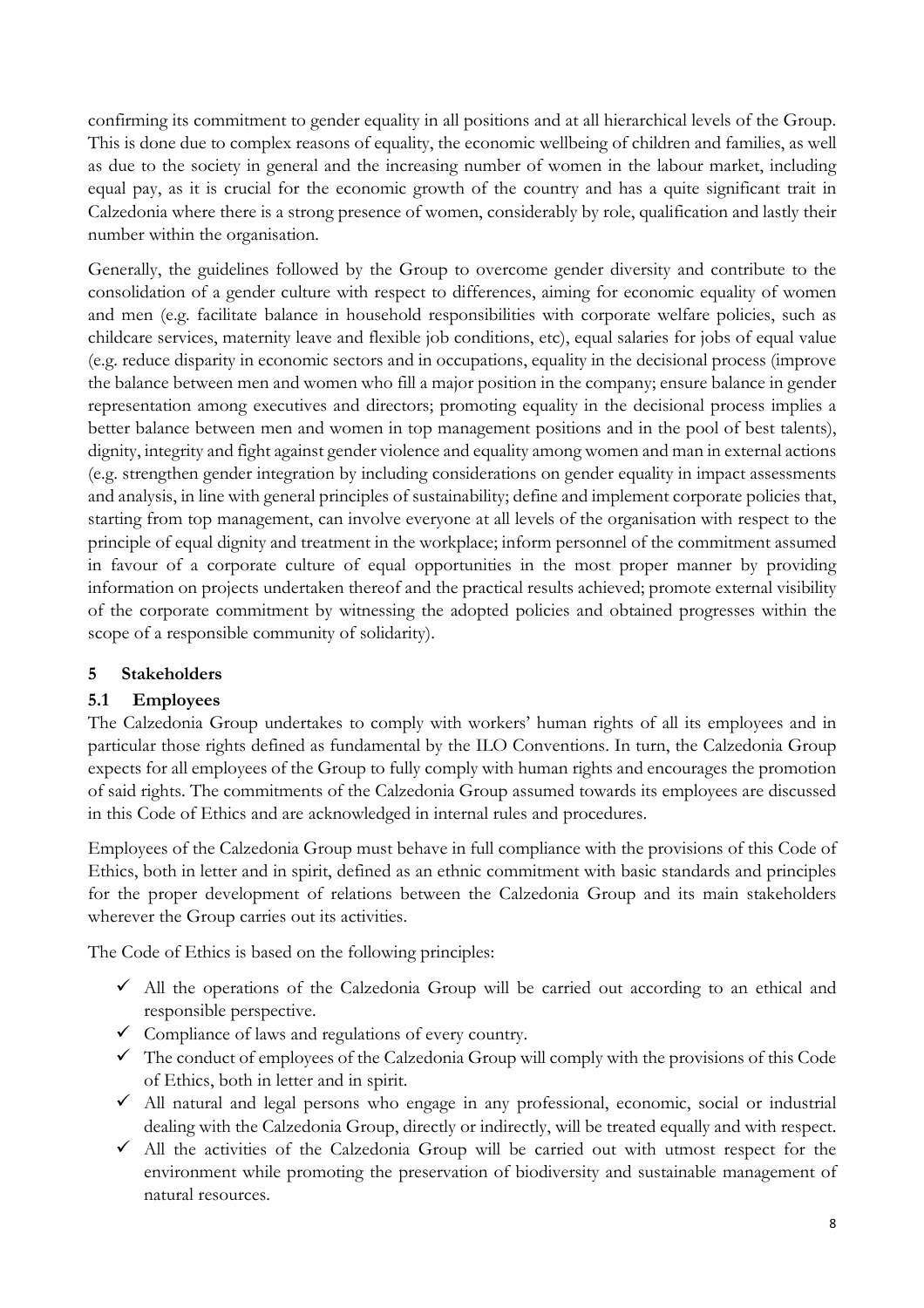confirming its commitment to gender equality in all positions and at all hierarchical levels of the Group. This is done due to complex reasons of equality, the economic wellbeing of children and families, as well as due to the society in general and the increasing number of women in the labour market, including equal pay, as it is crucial for the economic growth of the country and has a quite significant trait in Calzedonia where there is a strong presence of women, considerably by role, qualification and lastly their number within the organisation.

Generally, the guidelines followed by the Group to overcome gender diversity and contribute to the consolidation of a gender culture with respect to differences, aiming for economic equality of women and men (e.g. facilitate balance in household responsibilities with corporate welfare policies, such as childcare services, maternity leave and flexible job conditions, etc), equal salaries for jobs of equal value (e.g. reduce disparity in economic sectors and in occupations, equality in the decisional process (improve the balance between men and women who fill a major position in the company; ensure balance in gender representation among executives and directors; promoting equality in the decisional process implies a better balance between men and women in top management positions and in the pool of best talents), dignity, integrity and fight against gender violence and equality among women and man in external actions (e.g. strengthen gender integration by including considerations on gender equality in impact assessments and analysis, in line with general principles of sustainability; define and implement corporate policies that, starting from top management, can involve everyone at all levels of the organisation with respect to the principle of equal dignity and treatment in the workplace; inform personnel of the commitment assumed in favour of a corporate culture of equal opportunities in the most proper manner by providing information on projects undertaken thereof and the practical results achieved; promote external visibility of the corporate commitment by witnessing the adopted policies and obtained progresses within the scope of a responsible community of solidarity).

### **5 Stakeholders**

### **5.1 Employees**

The Calzedonia Group undertakes to comply with workers' human rights of all its employees and in particular those rights defined as fundamental by the ILO Conventions. In turn, the Calzedonia Group expects for all employees of the Group to fully comply with human rights and encourages the promotion of said rights. The commitments of the Calzedonia Group assumed towards its employees are discussed in this Code of Ethics and are acknowledged in internal rules and procedures.

Employees of the Calzedonia Group must behave in full compliance with the provisions of this Code of Ethics, both in letter and in spirit, defined as an ethnic commitment with basic standards and principles for the proper development of relations between the Calzedonia Group and its main stakeholders wherever the Group carries out its activities.

The Code of Ethics is based on the following principles:

- $\checkmark$  All the operations of the Calzedonia Group will be carried out according to an ethical and responsible perspective.
- $\checkmark$  Compliance of laws and regulations of every country.
- $\checkmark$  The conduct of employees of the Calzedonia Group will comply with the provisions of this Code of Ethics, both in letter and in spirit.
- $\checkmark$  All natural and legal persons who engage in any professional, economic, social or industrial dealing with the Calzedonia Group, directly or indirectly, will be treated equally and with respect.
- $\checkmark$  All the activities of the Calzedonia Group will be carried out with utmost respect for the environment while promoting the preservation of biodiversity and sustainable management of natural resources.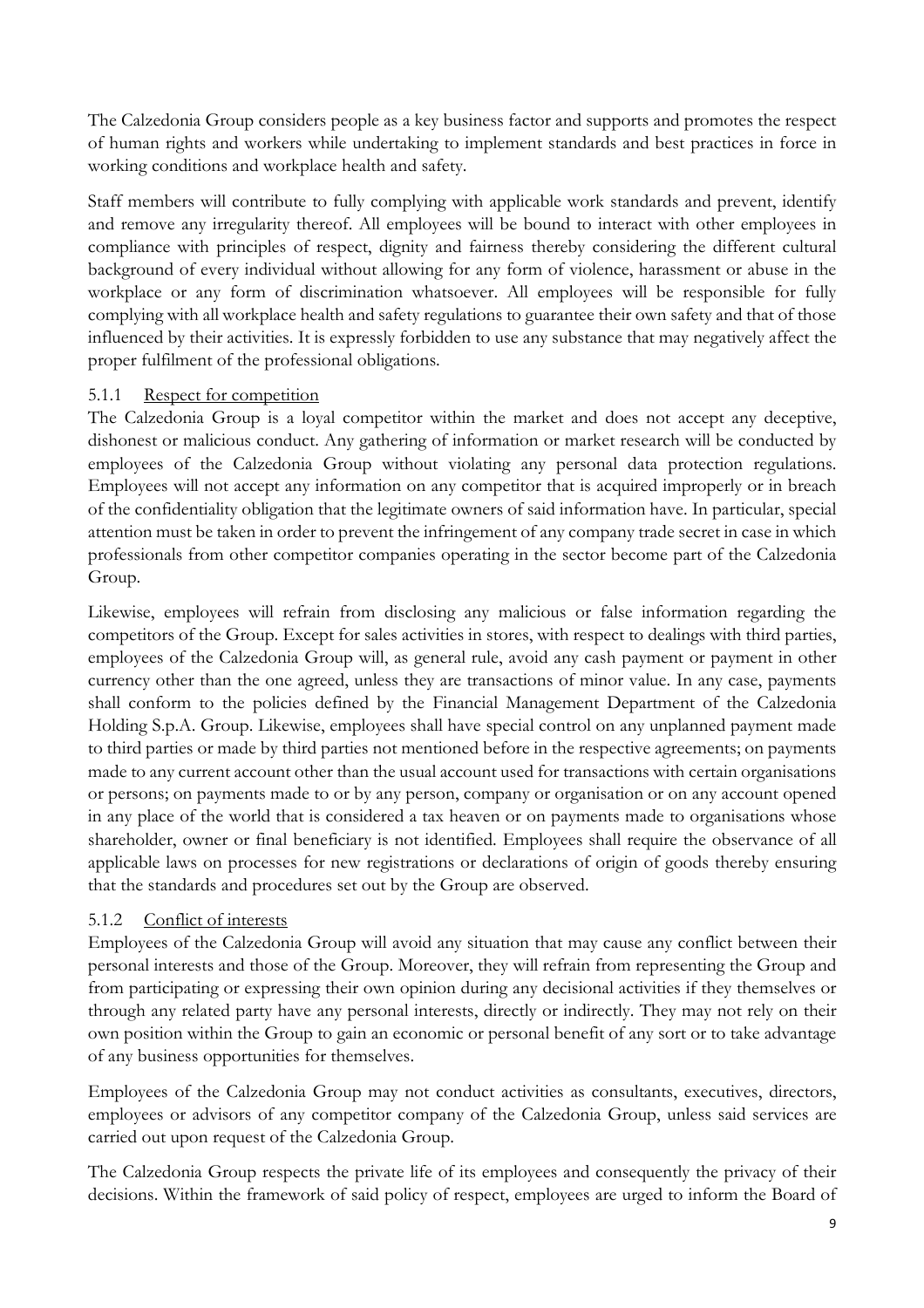The Calzedonia Group considers people as a key business factor and supports and promotes the respect of human rights and workers while undertaking to implement standards and best practices in force in working conditions and workplace health and safety.

Staff members will contribute to fully complying with applicable work standards and prevent, identify and remove any irregularity thereof. All employees will be bound to interact with other employees in compliance with principles of respect, dignity and fairness thereby considering the different cultural background of every individual without allowing for any form of violence, harassment or abuse in the workplace or any form of discrimination whatsoever. All employees will be responsible for fully complying with all workplace health and safety regulations to guarantee their own safety and that of those influenced by their activities. It is expressly forbidden to use any substance that may negatively affect the proper fulfilment of the professional obligations.

# 5.1.1 Respect for competition

The Calzedonia Group is a loyal competitor within the market and does not accept any deceptive, dishonest or malicious conduct. Any gathering of information or market research will be conducted by employees of the Calzedonia Group without violating any personal data protection regulations. Employees will not accept any information on any competitor that is acquired improperly or in breach of the confidentiality obligation that the legitimate owners of said information have. In particular, special attention must be taken in order to prevent the infringement of any company trade secret in case in which professionals from other competitor companies operating in the sector become part of the Calzedonia Group.

Likewise, employees will refrain from disclosing any malicious or false information regarding the competitors of the Group. Except for sales activities in stores, with respect to dealings with third parties, employees of the Calzedonia Group will, as general rule, avoid any cash payment or payment in other currency other than the one agreed, unless they are transactions of minor value. In any case, payments shall conform to the policies defined by the Financial Management Department of the Calzedonia Holding S.p.A. Group. Likewise, employees shall have special control on any unplanned payment made to third parties or made by third parties not mentioned before in the respective agreements; on payments made to any current account other than the usual account used for transactions with certain organisations or persons; on payments made to or by any person, company or organisation or on any account opened in any place of the world that is considered a tax heaven or on payments made to organisations whose shareholder, owner or final beneficiary is not identified. Employees shall require the observance of all applicable laws on processes for new registrations or declarations of origin of goods thereby ensuring that the standards and procedures set out by the Group are observed.

# 5.1.2 Conflict of interests

Employees of the Calzedonia Group will avoid any situation that may cause any conflict between their personal interests and those of the Group. Moreover, they will refrain from representing the Group and from participating or expressing their own opinion during any decisional activities if they themselves or through any related party have any personal interests, directly or indirectly. They may not rely on their own position within the Group to gain an economic or personal benefit of any sort or to take advantage of any business opportunities for themselves.

Employees of the Calzedonia Group may not conduct activities as consultants, executives, directors, employees or advisors of any competitor company of the Calzedonia Group, unless said services are carried out upon request of the Calzedonia Group.

The Calzedonia Group respects the private life of its employees and consequently the privacy of their decisions. Within the framework of said policy of respect, employees are urged to inform the Board of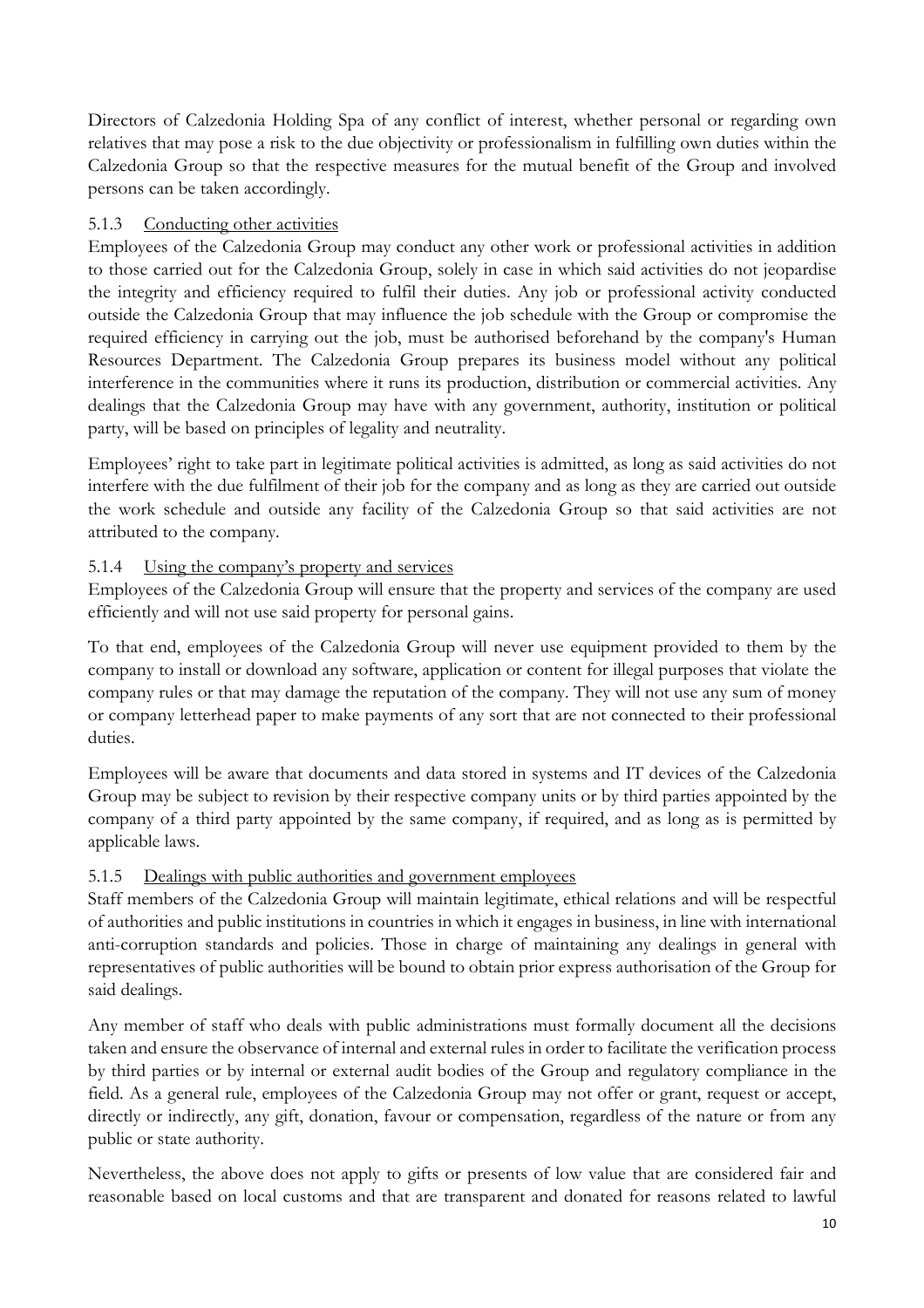Directors of Calzedonia Holding Spa of any conflict of interest, whether personal or regarding own relatives that may pose a risk to the due objectivity or professionalism in fulfilling own duties within the Calzedonia Group so that the respective measures for the mutual benefit of the Group and involved persons can be taken accordingly.

# 5.1.3 Conducting other activities

Employees of the Calzedonia Group may conduct any other work or professional activities in addition to those carried out for the Calzedonia Group, solely in case in which said activities do not jeopardise the integrity and efficiency required to fulfil their duties. Any job or professional activity conducted outside the Calzedonia Group that may influence the job schedule with the Group or compromise the required efficiency in carrying out the job, must be authorised beforehand by the company's Human Resources Department. The Calzedonia Group prepares its business model without any political interference in the communities where it runs its production, distribution or commercial activities. Any dealings that the Calzedonia Group may have with any government, authority, institution or political party, will be based on principles of legality and neutrality.

Employees' right to take part in legitimate political activities is admitted, as long as said activities do not interfere with the due fulfilment of their job for the company and as long as they are carried out outside the work schedule and outside any facility of the Calzedonia Group so that said activities are not attributed to the company.

# 5.1.4 Using the company's property and services

Employees of the Calzedonia Group will ensure that the property and services of the company are used efficiently and will not use said property for personal gains.

To that end, employees of the Calzedonia Group will never use equipment provided to them by the company to install or download any software, application or content for illegal purposes that violate the company rules or that may damage the reputation of the company. They will not use any sum of money or company letterhead paper to make payments of any sort that are not connected to their professional duties.

Employees will be aware that documents and data stored in systems and IT devices of the Calzedonia Group may be subject to revision by their respective company units or by third parties appointed by the company of a third party appointed by the same company, if required, and as long as is permitted by applicable laws.

### 5.1.5 Dealings with public authorities and government employees

Staff members of the Calzedonia Group will maintain legitimate, ethical relations and will be respectful of authorities and public institutions in countries in which it engages in business, in line with international anti-corruption standards and policies. Those in charge of maintaining any dealings in general with representatives of public authorities will be bound to obtain prior express authorisation of the Group for said dealings.

Any member of staff who deals with public administrations must formally document all the decisions taken and ensure the observance of internal and external rules in order to facilitate the verification process by third parties or by internal or external audit bodies of the Group and regulatory compliance in the field. As a general rule, employees of the Calzedonia Group may not offer or grant, request or accept, directly or indirectly, any gift, donation, favour or compensation, regardless of the nature or from any public or state authority.

Nevertheless, the above does not apply to gifts or presents of low value that are considered fair and reasonable based on local customs and that are transparent and donated for reasons related to lawful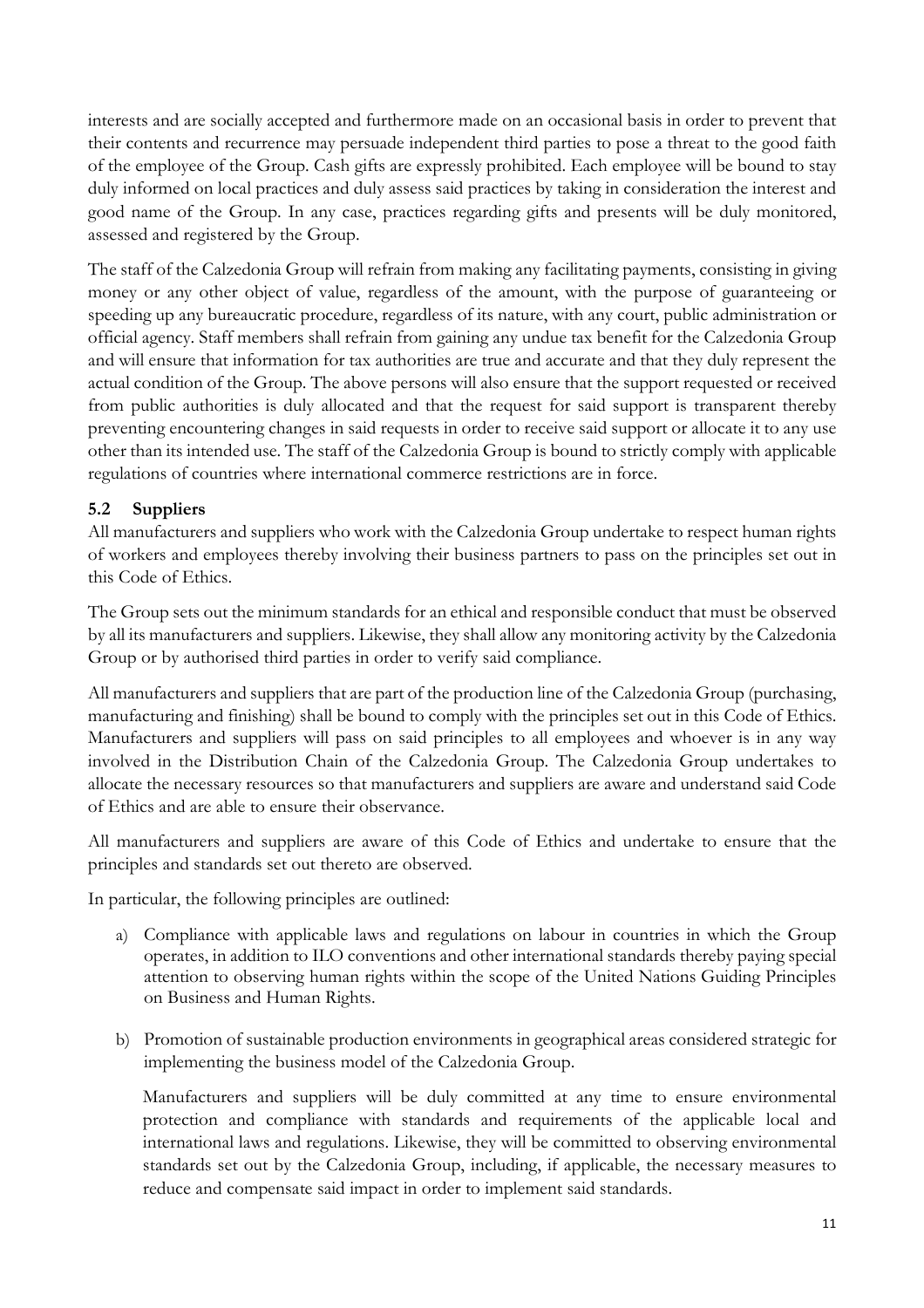interests and are socially accepted and furthermore made on an occasional basis in order to prevent that their contents and recurrence may persuade independent third parties to pose a threat to the good faith of the employee of the Group. Cash gifts are expressly prohibited. Each employee will be bound to stay duly informed on local practices and duly assess said practices by taking in consideration the interest and good name of the Group. In any case, practices regarding gifts and presents will be duly monitored, assessed and registered by the Group.

The staff of the Calzedonia Group will refrain from making any facilitating payments, consisting in giving money or any other object of value, regardless of the amount, with the purpose of guaranteeing or speeding up any bureaucratic procedure, regardless of its nature, with any court, public administration or official agency. Staff members shall refrain from gaining any undue tax benefit for the Calzedonia Group and will ensure that information for tax authorities are true and accurate and that they duly represent the actual condition of the Group. The above persons will also ensure that the support requested or received from public authorities is duly allocated and that the request for said support is transparent thereby preventing encountering changes in said requests in order to receive said support or allocate it to any use other than its intended use. The staff of the Calzedonia Group is bound to strictly comply with applicable regulations of countries where international commerce restrictions are in force.

# **5.2 Suppliers**

All manufacturers and suppliers who work with the Calzedonia Group undertake to respect human rights of workers and employees thereby involving their business partners to pass on the principles set out in this Code of Ethics.

The Group sets out the minimum standards for an ethical and responsible conduct that must be observed by all its manufacturers and suppliers. Likewise, they shall allow any monitoring activity by the Calzedonia Group or by authorised third parties in order to verify said compliance.

All manufacturers and suppliers that are part of the production line of the Calzedonia Group (purchasing, manufacturing and finishing) shall be bound to comply with the principles set out in this Code of Ethics. Manufacturers and suppliers will pass on said principles to all employees and whoever is in any way involved in the Distribution Chain of the Calzedonia Group. The Calzedonia Group undertakes to allocate the necessary resources so that manufacturers and suppliers are aware and understand said Code of Ethics and are able to ensure their observance.

All manufacturers and suppliers are aware of this Code of Ethics and undertake to ensure that the principles and standards set out thereto are observed.

In particular, the following principles are outlined:

- a) Compliance with applicable laws and regulations on labour in countries in which the Group operates, in addition to ILO conventions and other international standards thereby paying special attention to observing human rights within the scope of the United Nations Guiding Principles on Business and Human Rights.
- b) Promotion of sustainable production environments in geographical areas considered strategic for implementing the business model of the Calzedonia Group.

Manufacturers and suppliers will be duly committed at any time to ensure environmental protection and compliance with standards and requirements of the applicable local and international laws and regulations. Likewise, they will be committed to observing environmental standards set out by the Calzedonia Group, including, if applicable, the necessary measures to reduce and compensate said impact in order to implement said standards.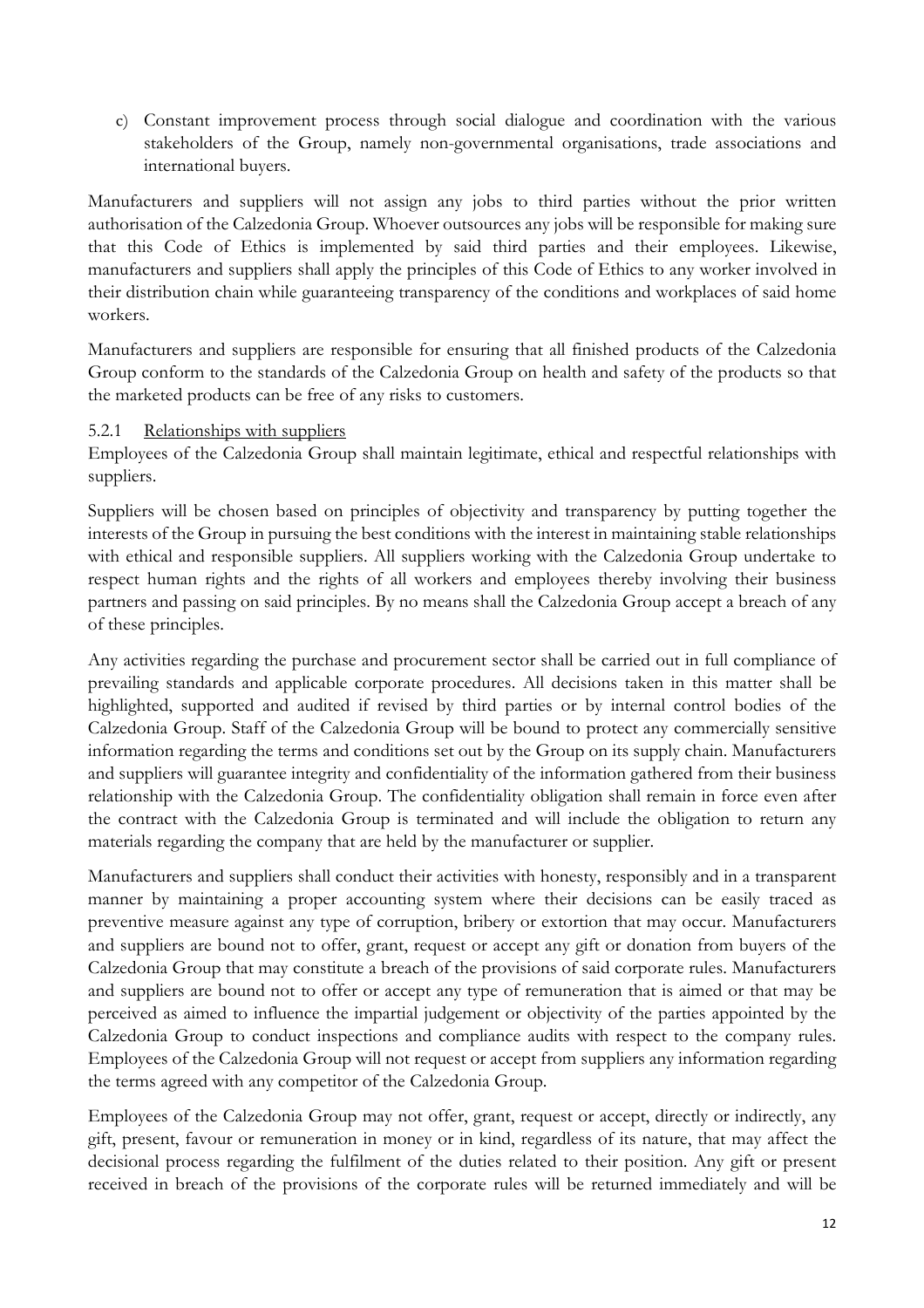c) Constant improvement process through social dialogue and coordination with the various stakeholders of the Group, namely non-governmental organisations, trade associations and international buyers.

Manufacturers and suppliers will not assign any jobs to third parties without the prior written authorisation of the Calzedonia Group. Whoever outsources any jobs will be responsible for making sure that this Code of Ethics is implemented by said third parties and their employees. Likewise, manufacturers and suppliers shall apply the principles of this Code of Ethics to any worker involved in their distribution chain while guaranteeing transparency of the conditions and workplaces of said home workers.

Manufacturers and suppliers are responsible for ensuring that all finished products of the Calzedonia Group conform to the standards of the Calzedonia Group on health and safety of the products so that the marketed products can be free of any risks to customers.

#### 5.2.1 Relationships with suppliers

Employees of the Calzedonia Group shall maintain legitimate, ethical and respectful relationships with suppliers.

Suppliers will be chosen based on principles of objectivity and transparency by putting together the interests of the Group in pursuing the best conditions with the interest in maintaining stable relationships with ethical and responsible suppliers. All suppliers working with the Calzedonia Group undertake to respect human rights and the rights of all workers and employees thereby involving their business partners and passing on said principles. By no means shall the Calzedonia Group accept a breach of any of these principles.

Any activities regarding the purchase and procurement sector shall be carried out in full compliance of prevailing standards and applicable corporate procedures. All decisions taken in this matter shall be highlighted, supported and audited if revised by third parties or by internal control bodies of the Calzedonia Group. Staff of the Calzedonia Group will be bound to protect any commercially sensitive information regarding the terms and conditions set out by the Group on its supply chain. Manufacturers and suppliers will guarantee integrity and confidentiality of the information gathered from their business relationship with the Calzedonia Group. The confidentiality obligation shall remain in force even after the contract with the Calzedonia Group is terminated and will include the obligation to return any materials regarding the company that are held by the manufacturer or supplier.

Manufacturers and suppliers shall conduct their activities with honesty, responsibly and in a transparent manner by maintaining a proper accounting system where their decisions can be easily traced as preventive measure against any type of corruption, bribery or extortion that may occur. Manufacturers and suppliers are bound not to offer, grant, request or accept any gift or donation from buyers of the Calzedonia Group that may constitute a breach of the provisions of said corporate rules. Manufacturers and suppliers are bound not to offer or accept any type of remuneration that is aimed or that may be perceived as aimed to influence the impartial judgement or objectivity of the parties appointed by the Calzedonia Group to conduct inspections and compliance audits with respect to the company rules. Employees of the Calzedonia Group will not request or accept from suppliers any information regarding the terms agreed with any competitor of the Calzedonia Group.

Employees of the Calzedonia Group may not offer, grant, request or accept, directly or indirectly, any gift, present, favour or remuneration in money or in kind, regardless of its nature, that may affect the decisional process regarding the fulfilment of the duties related to their position. Any gift or present received in breach of the provisions of the corporate rules will be returned immediately and will be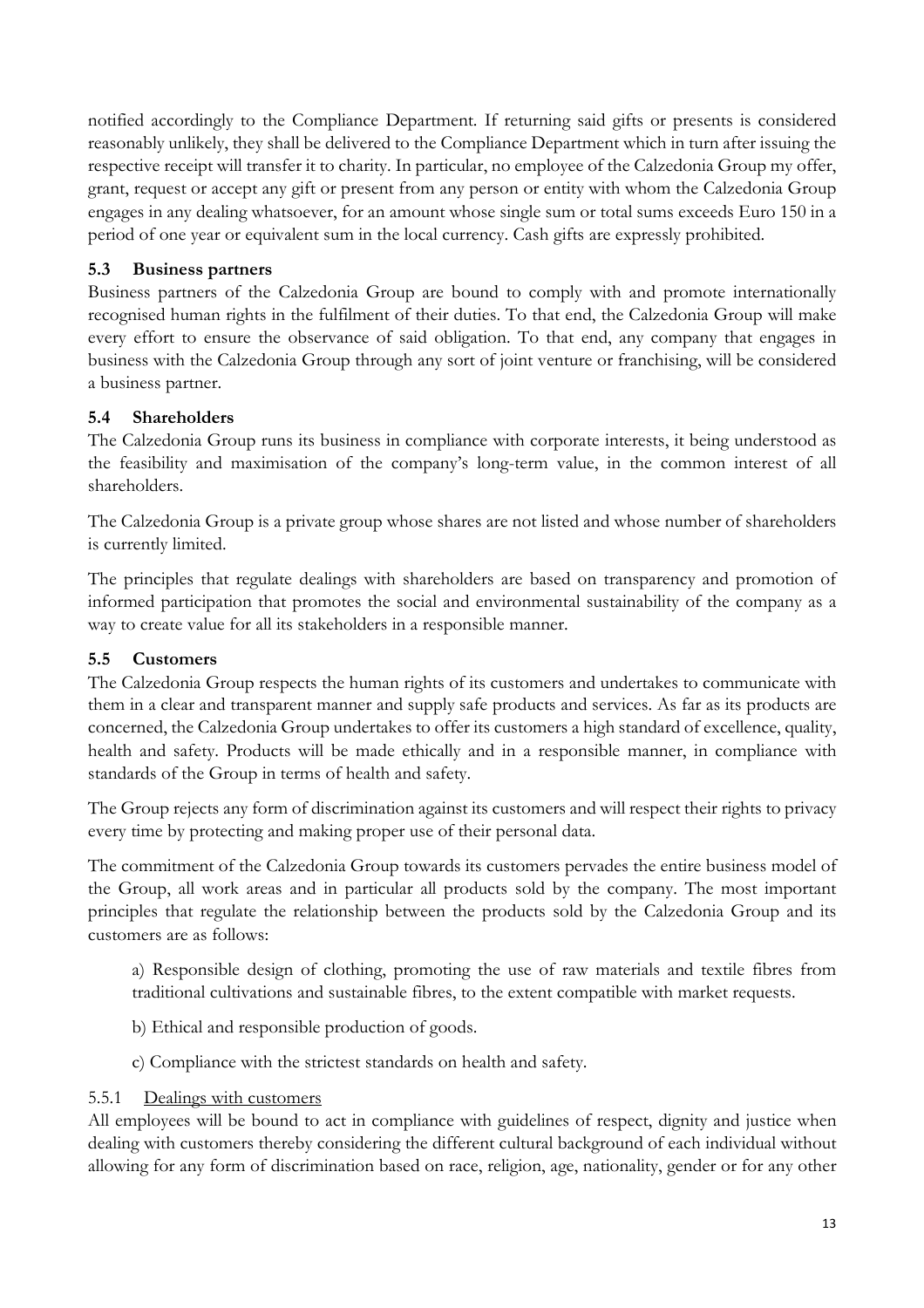notified accordingly to the Compliance Department. If returning said gifts or presents is considered reasonably unlikely, they shall be delivered to the Compliance Department which in turn after issuing the respective receipt will transfer it to charity. In particular, no employee of the Calzedonia Group my offer, grant, request or accept any gift or present from any person or entity with whom the Calzedonia Group engages in any dealing whatsoever, for an amount whose single sum or total sums exceeds Euro 150 in a period of one year or equivalent sum in the local currency. Cash gifts are expressly prohibited.

### **5.3 Business partners**

Business partners of the Calzedonia Group are bound to comply with and promote internationally recognised human rights in the fulfilment of their duties. To that end, the Calzedonia Group will make every effort to ensure the observance of said obligation. To that end, any company that engages in business with the Calzedonia Group through any sort of joint venture or franchising, will be considered a business partner.

# **5.4 Shareholders**

The Calzedonia Group runs its business in compliance with corporate interests, it being understood as the feasibility and maximisation of the company's long-term value, in the common interest of all shareholders.

The Calzedonia Group is a private group whose shares are not listed and whose number of shareholders is currently limited.

The principles that regulate dealings with shareholders are based on transparency and promotion of informed participation that promotes the social and environmental sustainability of the company as a way to create value for all its stakeholders in a responsible manner.

# **5.5 Customers**

The Calzedonia Group respects the human rights of its customers and undertakes to communicate with them in a clear and transparent manner and supply safe products and services. As far as its products are concerned, the Calzedonia Group undertakes to offer its customers a high standard of excellence, quality, health and safety. Products will be made ethically and in a responsible manner, in compliance with standards of the Group in terms of health and safety.

The Group rejects any form of discrimination against its customers and will respect their rights to privacy every time by protecting and making proper use of their personal data.

The commitment of the Calzedonia Group towards its customers pervades the entire business model of the Group, all work areas and in particular all products sold by the company. The most important principles that regulate the relationship between the products sold by the Calzedonia Group and its customers are as follows:

a) Responsible design of clothing, promoting the use of raw materials and textile fibres from traditional cultivations and sustainable fibres, to the extent compatible with market requests.

- b) Ethical and responsible production of goods.
- c) Compliance with the strictest standards on health and safety.
- 5.5.1 Dealings with customers

All employees will be bound to act in compliance with guidelines of respect, dignity and justice when dealing with customers thereby considering the different cultural background of each individual without allowing for any form of discrimination based on race, religion, age, nationality, gender or for any other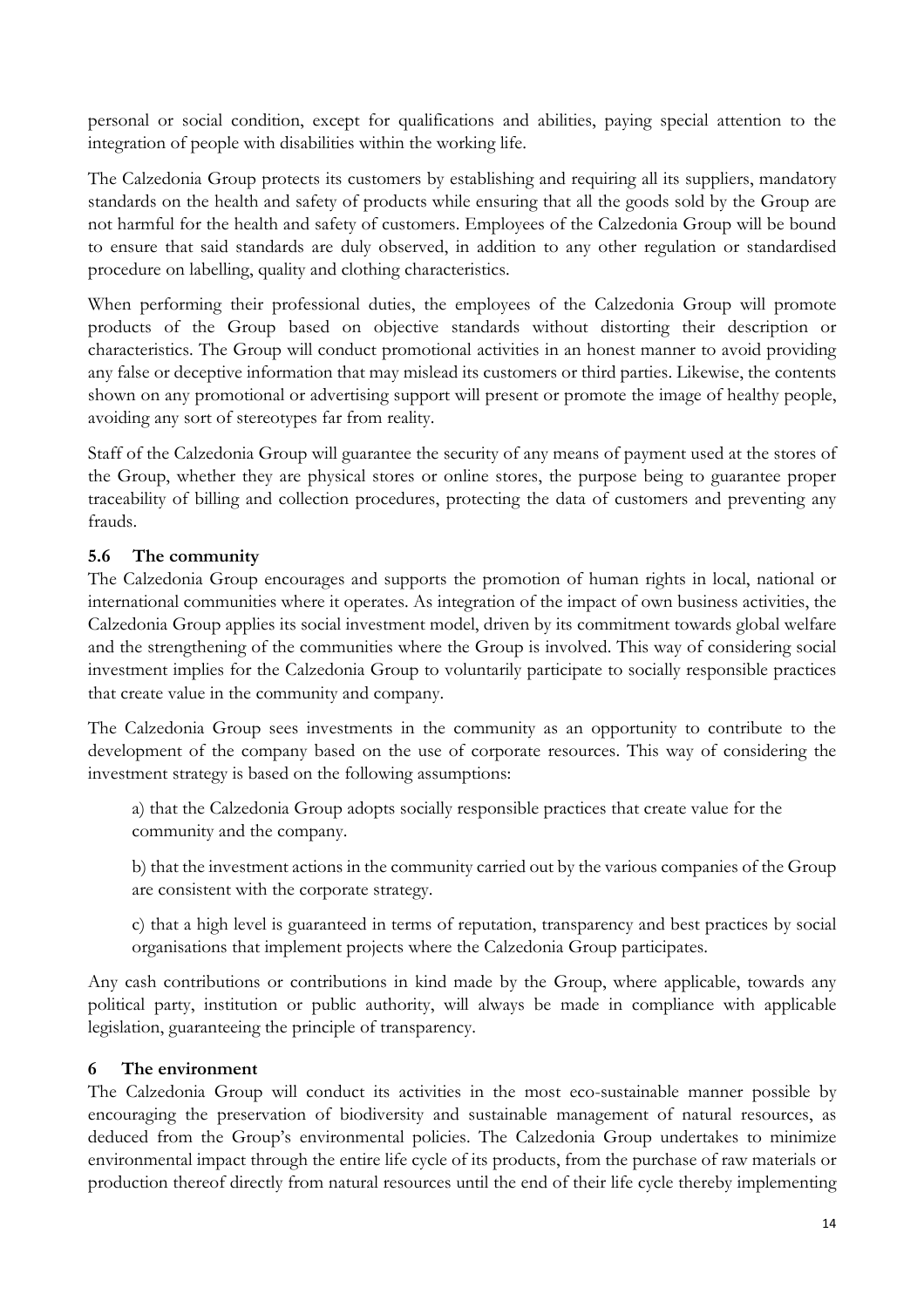personal or social condition, except for qualifications and abilities, paying special attention to the integration of people with disabilities within the working life.

The Calzedonia Group protects its customers by establishing and requiring all its suppliers, mandatory standards on the health and safety of products while ensuring that all the goods sold by the Group are not harmful for the health and safety of customers. Employees of the Calzedonia Group will be bound to ensure that said standards are duly observed, in addition to any other regulation or standardised procedure on labelling, quality and clothing characteristics.

When performing their professional duties, the employees of the Calzedonia Group will promote products of the Group based on objective standards without distorting their description or characteristics. The Group will conduct promotional activities in an honest manner to avoid providing any false or deceptive information that may mislead its customers or third parties. Likewise, the contents shown on any promotional or advertising support will present or promote the image of healthy people, avoiding any sort of stereotypes far from reality.

Staff of the Calzedonia Group will guarantee the security of any means of payment used at the stores of the Group, whether they are physical stores or online stores, the purpose being to guarantee proper traceability of billing and collection procedures, protecting the data of customers and preventing any frauds.

### **5.6 The community**

The Calzedonia Group encourages and supports the promotion of human rights in local, national or international communities where it operates. As integration of the impact of own business activities, the Calzedonia Group applies its social investment model, driven by its commitment towards global welfare and the strengthening of the communities where the Group is involved. This way of considering social investment implies for the Calzedonia Group to voluntarily participate to socially responsible practices that create value in the community and company.

The Calzedonia Group sees investments in the community as an opportunity to contribute to the development of the company based on the use of corporate resources. This way of considering the investment strategy is based on the following assumptions:

a) that the Calzedonia Group adopts socially responsible practices that create value for the community and the company.

b) that the investment actions in the community carried out by the various companies of the Group are consistent with the corporate strategy.

c) that a high level is guaranteed in terms of reputation, transparency and best practices by social organisations that implement projects where the Calzedonia Group participates.

Any cash contributions or contributions in kind made by the Group, where applicable, towards any political party, institution or public authority, will always be made in compliance with applicable legislation, guaranteeing the principle of transparency.

### **6 The environment**

The Calzedonia Group will conduct its activities in the most eco-sustainable manner possible by encouraging the preservation of biodiversity and sustainable management of natural resources, as deduced from the Group's environmental policies. The Calzedonia Group undertakes to minimize environmental impact through the entire life cycle of its products, from the purchase of raw materials or production thereof directly from natural resources until the end of their life cycle thereby implementing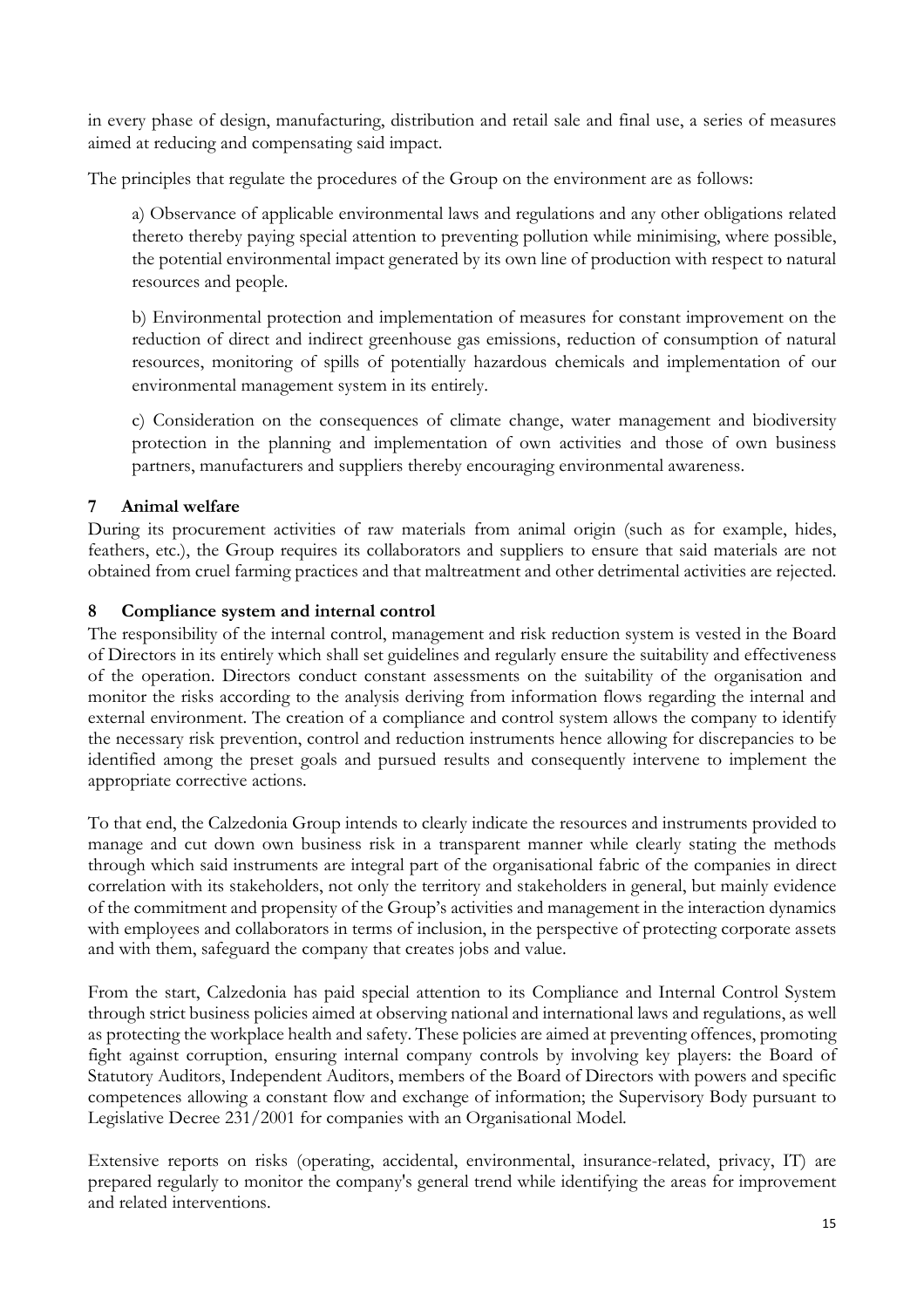in every phase of design, manufacturing, distribution and retail sale and final use, a series of measures aimed at reducing and compensating said impact.

The principles that regulate the procedures of the Group on the environment are as follows:

a) Observance of applicable environmental laws and regulations and any other obligations related thereto thereby paying special attention to preventing pollution while minimising, where possible, the potential environmental impact generated by its own line of production with respect to natural resources and people.

b) Environmental protection and implementation of measures for constant improvement on the reduction of direct and indirect greenhouse gas emissions, reduction of consumption of natural resources, monitoring of spills of potentially hazardous chemicals and implementation of our environmental management system in its entirely.

c) Consideration on the consequences of climate change, water management and biodiversity protection in the planning and implementation of own activities and those of own business partners, manufacturers and suppliers thereby encouraging environmental awareness.

# **7 Animal welfare**

During its procurement activities of raw materials from animal origin (such as for example, hides, feathers, etc.), the Group requires its collaborators and suppliers to ensure that said materials are not obtained from cruel farming practices and that maltreatment and other detrimental activities are rejected.

### **8 Compliance system and internal control**

The responsibility of the internal control, management and risk reduction system is vested in the Board of Directors in its entirely which shall set guidelines and regularly ensure the suitability and effectiveness of the operation. Directors conduct constant assessments on the suitability of the organisation and monitor the risks according to the analysis deriving from information flows regarding the internal and external environment. The creation of a compliance and control system allows the company to identify the necessary risk prevention, control and reduction instruments hence allowing for discrepancies to be identified among the preset goals and pursued results and consequently intervene to implement the appropriate corrective actions.

To that end, the Calzedonia Group intends to clearly indicate the resources and instruments provided to manage and cut down own business risk in a transparent manner while clearly stating the methods through which said instruments are integral part of the organisational fabric of the companies in direct correlation with its stakeholders, not only the territory and stakeholders in general, but mainly evidence of the commitment and propensity of the Group's activities and management in the interaction dynamics with employees and collaborators in terms of inclusion, in the perspective of protecting corporate assets and with them, safeguard the company that creates jobs and value.

From the start, Calzedonia has paid special attention to its Compliance and Internal Control System through strict business policies aimed at observing national and international laws and regulations, as well as protecting the workplace health and safety. These policies are aimed at preventing offences, promoting fight against corruption, ensuring internal company controls by involving key players: the Board of Statutory Auditors, Independent Auditors, members of the Board of Directors with powers and specific competences allowing a constant flow and exchange of information; the Supervisory Body pursuant to Legislative Decree 231/2001 for companies with an Organisational Model.

Extensive reports on risks (operating, accidental, environmental, insurance-related, privacy, IT) are prepared regularly to monitor the company's general trend while identifying the areas for improvement and related interventions.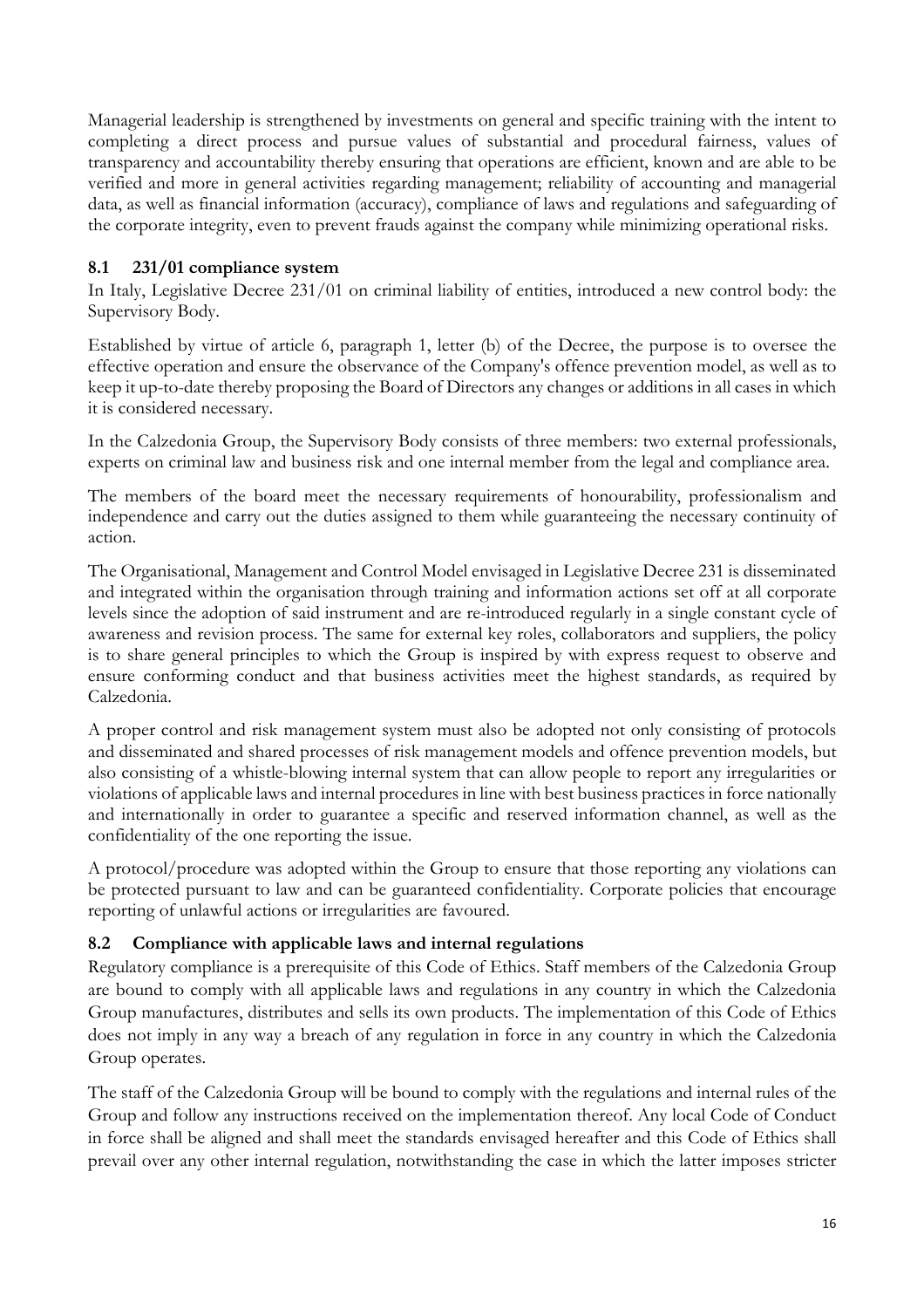Managerial leadership is strengthened by investments on general and specific training with the intent to completing a direct process and pursue values of substantial and procedural fairness, values of transparency and accountability thereby ensuring that operations are efficient, known and are able to be verified and more in general activities regarding management; reliability of accounting and managerial data, as well as financial information (accuracy), compliance of laws and regulations and safeguarding of the corporate integrity, even to prevent frauds against the company while minimizing operational risks.

### **8.1 231/01 compliance system**

In Italy, Legislative Decree 231/01 on criminal liability of entities, introduced a new control body: the Supervisory Body.

Established by virtue of article 6, paragraph 1, letter (b) of the Decree, the purpose is to oversee the effective operation and ensure the observance of the Company's offence prevention model, as well as to keep it up-to-date thereby proposing the Board of Directors any changes or additions in all cases in which it is considered necessary.

In the Calzedonia Group, the Supervisory Body consists of three members: two external professionals, experts on criminal law and business risk and one internal member from the legal and compliance area.

The members of the board meet the necessary requirements of honourability, professionalism and independence and carry out the duties assigned to them while guaranteeing the necessary continuity of action.

The Organisational, Management and Control Model envisaged in Legislative Decree 231 is disseminated and integrated within the organisation through training and information actions set off at all corporate levels since the adoption of said instrument and are re-introduced regularly in a single constant cycle of awareness and revision process. The same for external key roles, collaborators and suppliers, the policy is to share general principles to which the Group is inspired by with express request to observe and ensure conforming conduct and that business activities meet the highest standards, as required by Calzedonia.

A proper control and risk management system must also be adopted not only consisting of protocols and disseminated and shared processes of risk management models and offence prevention models, but also consisting of a whistle-blowing internal system that can allow people to report any irregularities or violations of applicable laws and internal procedures in line with best business practices in force nationally and internationally in order to guarantee a specific and reserved information channel, as well as the confidentiality of the one reporting the issue.

A protocol/procedure was adopted within the Group to ensure that those reporting any violations can be protected pursuant to law and can be guaranteed confidentiality. Corporate policies that encourage reporting of unlawful actions or irregularities are favoured.

### **8.2 Compliance with applicable laws and internal regulations**

Regulatory compliance is a prerequisite of this Code of Ethics. Staff members of the Calzedonia Group are bound to comply with all applicable laws and regulations in any country in which the Calzedonia Group manufactures, distributes and sells its own products. The implementation of this Code of Ethics does not imply in any way a breach of any regulation in force in any country in which the Calzedonia Group operates.

The staff of the Calzedonia Group will be bound to comply with the regulations and internal rules of the Group and follow any instructions received on the implementation thereof. Any local Code of Conduct in force shall be aligned and shall meet the standards envisaged hereafter and this Code of Ethics shall prevail over any other internal regulation, notwithstanding the case in which the latter imposes stricter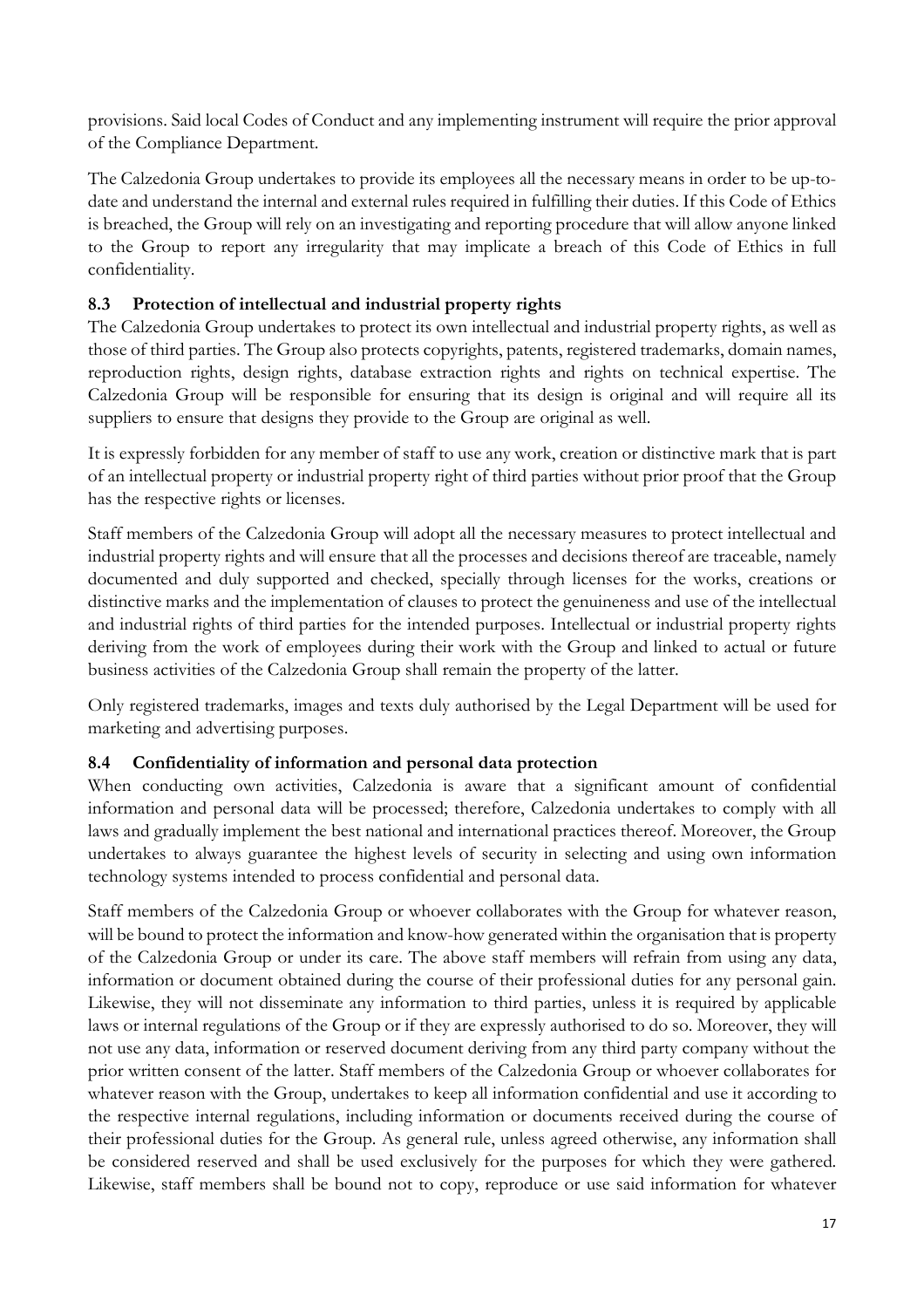provisions. Said local Codes of Conduct and any implementing instrument will require the prior approval of the Compliance Department.

The Calzedonia Group undertakes to provide its employees all the necessary means in order to be up-todate and understand the internal and external rules required in fulfilling their duties. If this Code of Ethics is breached, the Group will rely on an investigating and reporting procedure that will allow anyone linked to the Group to report any irregularity that may implicate a breach of this Code of Ethics in full confidentiality.

# **8.3 Protection of intellectual and industrial property rights**

The Calzedonia Group undertakes to protect its own intellectual and industrial property rights, as well as those of third parties. The Group also protects copyrights, patents, registered trademarks, domain names, reproduction rights, design rights, database extraction rights and rights on technical expertise. The Calzedonia Group will be responsible for ensuring that its design is original and will require all its suppliers to ensure that designs they provide to the Group are original as well.

It is expressly forbidden for any member of staff to use any work, creation or distinctive mark that is part of an intellectual property or industrial property right of third parties without prior proof that the Group has the respective rights or licenses.

Staff members of the Calzedonia Group will adopt all the necessary measures to protect intellectual and industrial property rights and will ensure that all the processes and decisions thereof are traceable, namely documented and duly supported and checked, specially through licenses for the works, creations or distinctive marks and the implementation of clauses to protect the genuineness and use of the intellectual and industrial rights of third parties for the intended purposes. Intellectual or industrial property rights deriving from the work of employees during their work with the Group and linked to actual or future business activities of the Calzedonia Group shall remain the property of the latter.

Only registered trademarks, images and texts duly authorised by the Legal Department will be used for marketing and advertising purposes.

### **8.4 Confidentiality of information and personal data protection**

When conducting own activities, Calzedonia is aware that a significant amount of confidential information and personal data will be processed; therefore, Calzedonia undertakes to comply with all laws and gradually implement the best national and international practices thereof. Moreover, the Group undertakes to always guarantee the highest levels of security in selecting and using own information technology systems intended to process confidential and personal data.

Staff members of the Calzedonia Group or whoever collaborates with the Group for whatever reason, will be bound to protect the information and know-how generated within the organisation that is property of the Calzedonia Group or under its care. The above staff members will refrain from using any data, information or document obtained during the course of their professional duties for any personal gain. Likewise, they will not disseminate any information to third parties, unless it is required by applicable laws or internal regulations of the Group or if they are expressly authorised to do so. Moreover, they will not use any data, information or reserved document deriving from any third party company without the prior written consent of the latter. Staff members of the Calzedonia Group or whoever collaborates for whatever reason with the Group, undertakes to keep all information confidential and use it according to the respective internal regulations, including information or documents received during the course of their professional duties for the Group. As general rule, unless agreed otherwise, any information shall be considered reserved and shall be used exclusively for the purposes for which they were gathered. Likewise, staff members shall be bound not to copy, reproduce or use said information for whatever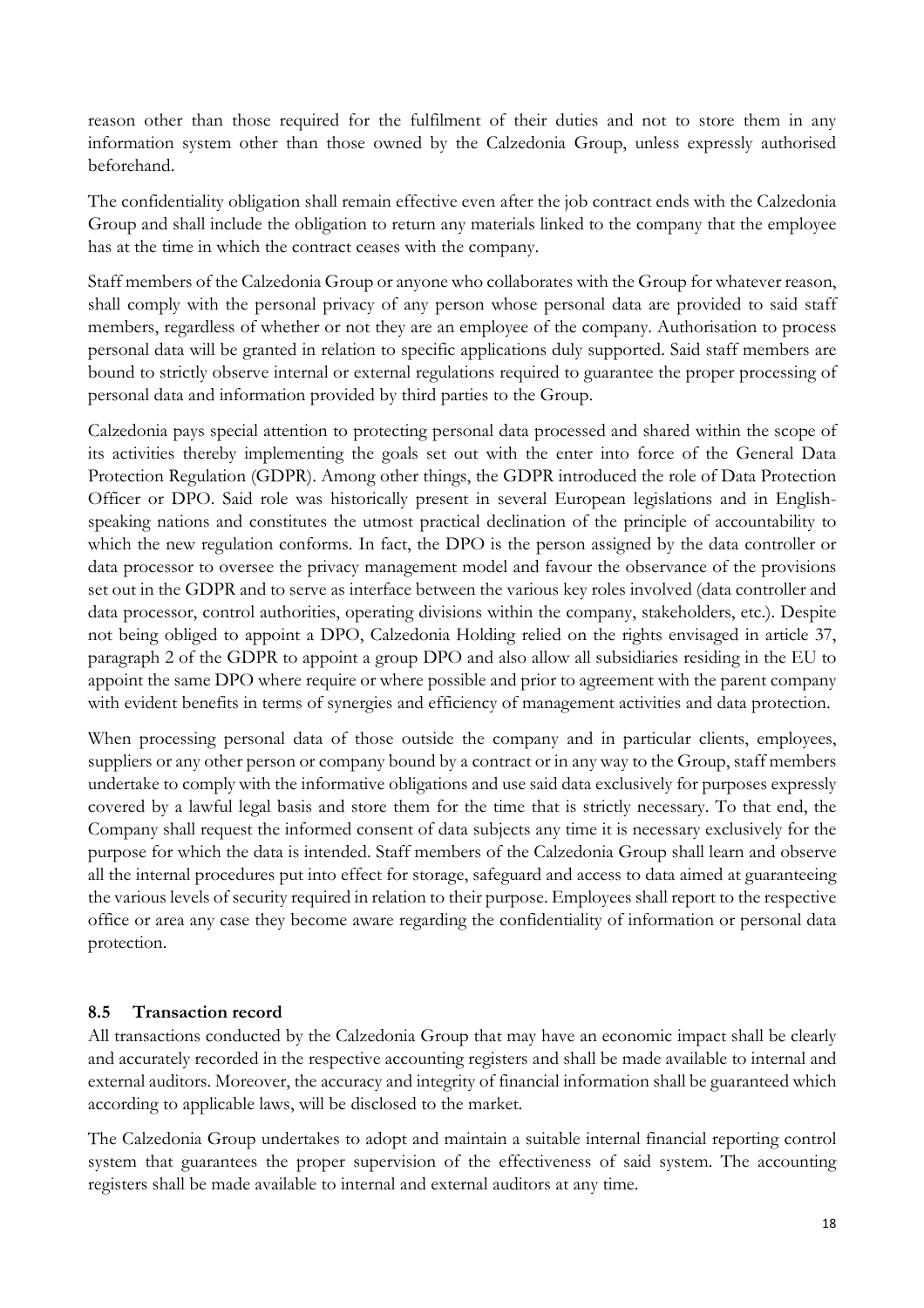reason other than those required for the fulfilment of their duties and not to store them in any information system other than those owned by the Calzedonia Group, unless expressly authorised beforehand.

The confidentiality obligation shall remain effective even after the job contract ends with the Calzedonia Group and shall include the obligation to return any materials linked to the company that the employee has at the time in which the contract ceases with the company.

Staff members of the Calzedonia Group or anyone who collaborates with the Group for whatever reason, shall comply with the personal privacy of any person whose personal data are provided to said staff members, regardless of whether or not they are an employee of the company. Authorisation to process personal data will be granted in relation to specific applications duly supported. Said staff members are bound to strictly observe internal or external regulations required to guarantee the proper processing of personal data and information provided by third parties to the Group.

Calzedonia pays special attention to protecting personal data processed and shared within the scope of its activities thereby implementing the goals set out with the enter into force of the General Data Protection Regulation (GDPR). Among other things, the GDPR introduced the role of Data Protection Officer or DPO. Said role was historically present in several European legislations and in Englishspeaking nations and constitutes the utmost practical declination of the principle of accountability to which the new regulation conforms. In fact, the DPO is the person assigned by the data controller or data processor to oversee the privacy management model and favour the observance of the provisions set out in the GDPR and to serve as interface between the various key roles involved (data controller and data processor, control authorities, operating divisions within the company, stakeholders, etc.). Despite not being obliged to appoint a DPO, Calzedonia Holding relied on the rights envisaged in article 37, paragraph 2 of the GDPR to appoint a group DPO and also allow all subsidiaries residing in the EU to appoint the same DPO where require or where possible and prior to agreement with the parent company with evident benefits in terms of synergies and efficiency of management activities and data protection.

When processing personal data of those outside the company and in particular clients, employees, suppliers or any other person or company bound by a contract or in any way to the Group, staff members undertake to comply with the informative obligations and use said data exclusively for purposes expressly covered by a lawful legal basis and store them for the time that is strictly necessary. To that end, the Company shall request the informed consent of data subjects any time it is necessary exclusively for the purpose for which the data is intended. Staff members of the Calzedonia Group shall learn and observe all the internal procedures put into effect for storage, safeguard and access to data aimed at guaranteeing the various levels of security required in relation to their purpose. Employees shall report to the respective office or area any case they become aware regarding the confidentiality of information or personal data protection.

### **8.5 Transaction record**

All transactions conducted by the Calzedonia Group that may have an economic impact shall be clearly and accurately recorded in the respective accounting registers and shall be made available to internal and external auditors. Moreover, the accuracy and integrity of financial information shall be guaranteed which according to applicable laws, will be disclosed to the market.

The Calzedonia Group undertakes to adopt and maintain a suitable internal financial reporting control system that guarantees the proper supervision of the effectiveness of said system. The accounting registers shall be made available to internal and external auditors at any time.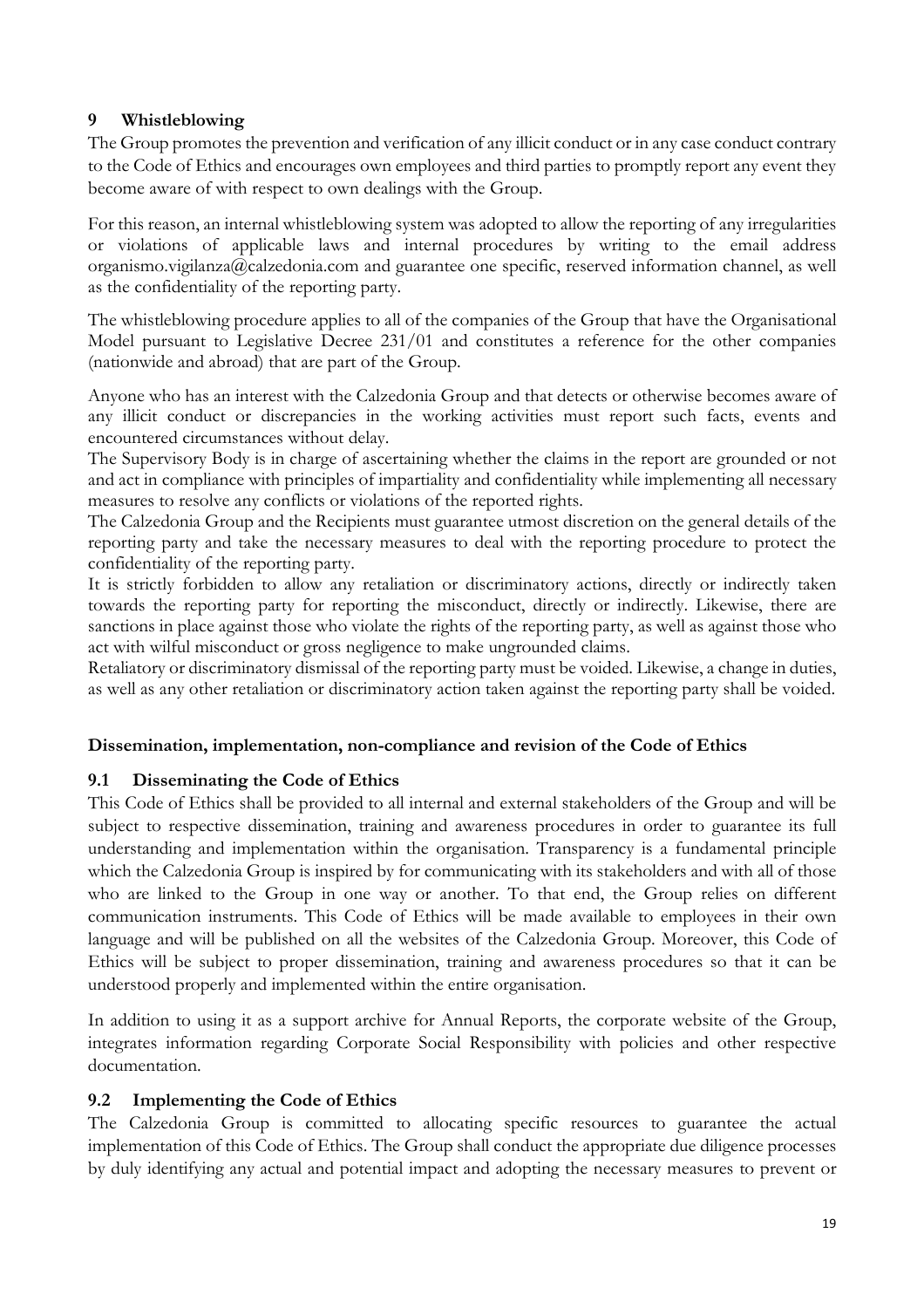### **9 Whistleblowing**

The Group promotes the prevention and verification of any illicit conduct or in any case conduct contrary to the Code of Ethics and encourages own employees and third parties to promptly report any event they become aware of with respect to own dealings with the Group.

For this reason, an internal whistleblowing system was adopted to allow the reporting of any irregularities or violations of applicable laws and internal procedures by writing to the email address organismo.vigilanza@calzedonia.com and guarantee one specific, reserved information channel, as well as the confidentiality of the reporting party.

The whistleblowing procedure applies to all of the companies of the Group that have the Organisational Model pursuant to Legislative Decree 231/01 and constitutes a reference for the other companies (nationwide and abroad) that are part of the Group.

Anyone who has an interest with the Calzedonia Group and that detects or otherwise becomes aware of any illicit conduct or discrepancies in the working activities must report such facts, events and encountered circumstances without delay.

The Supervisory Body is in charge of ascertaining whether the claims in the report are grounded or not and act in compliance with principles of impartiality and confidentiality while implementing all necessary measures to resolve any conflicts or violations of the reported rights.

The Calzedonia Group and the Recipients must guarantee utmost discretion on the general details of the reporting party and take the necessary measures to deal with the reporting procedure to protect the confidentiality of the reporting party.

It is strictly forbidden to allow any retaliation or discriminatory actions, directly or indirectly taken towards the reporting party for reporting the misconduct, directly or indirectly. Likewise, there are sanctions in place against those who violate the rights of the reporting party, as well as against those who act with wilful misconduct or gross negligence to make ungrounded claims.

Retaliatory or discriminatory dismissal of the reporting party must be voided. Likewise, a change in duties, as well as any other retaliation or discriminatory action taken against the reporting party shall be voided.

### **Dissemination, implementation, non-compliance and revision of the Code of Ethics**

# **9.1 Disseminating the Code of Ethics**

This Code of Ethics shall be provided to all internal and external stakeholders of the Group and will be subject to respective dissemination, training and awareness procedures in order to guarantee its full understanding and implementation within the organisation. Transparency is a fundamental principle which the Calzedonia Group is inspired by for communicating with its stakeholders and with all of those who are linked to the Group in one way or another. To that end, the Group relies on different communication instruments. This Code of Ethics will be made available to employees in their own language and will be published on all the websites of the Calzedonia Group. Moreover, this Code of Ethics will be subject to proper dissemination, training and awareness procedures so that it can be understood properly and implemented within the entire organisation.

In addition to using it as a support archive for Annual Reports, the corporate website of the Group, integrates information regarding Corporate Social Responsibility with policies and other respective documentation.

### **9.2 Implementing the Code of Ethics**

The Calzedonia Group is committed to allocating specific resources to guarantee the actual implementation of this Code of Ethics. The Group shall conduct the appropriate due diligence processes by duly identifying any actual and potential impact and adopting the necessary measures to prevent or